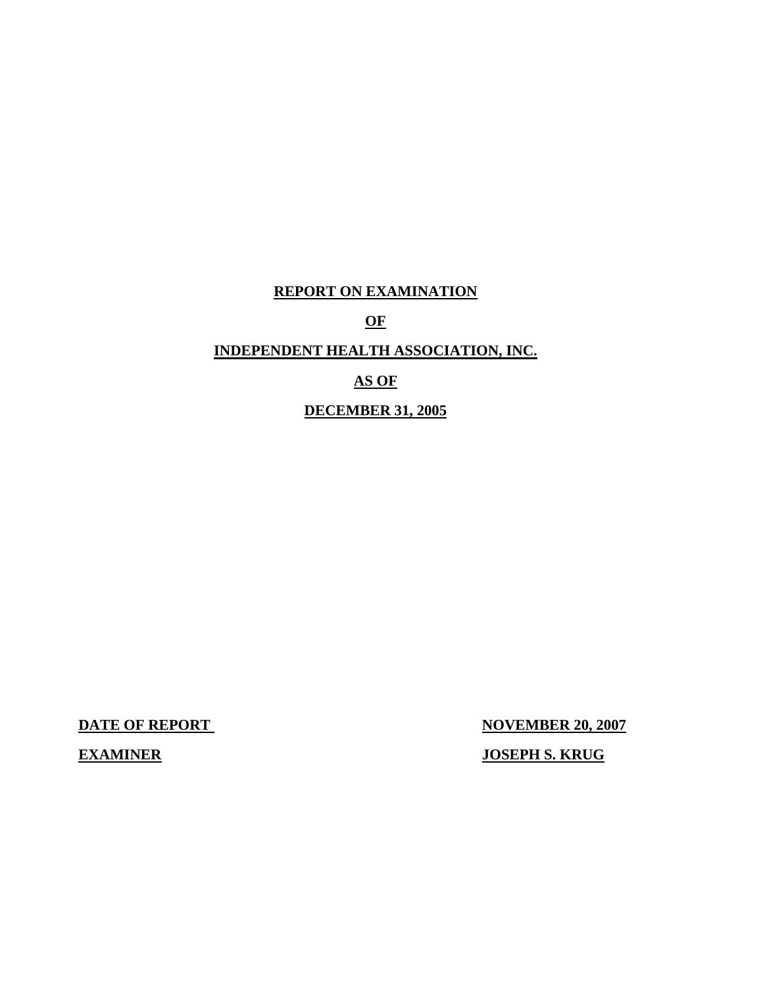# **REPORT ON EXAMINATION**

**OF** 

# **INDEPENDENT HEALTH ASSOCIATION, INC.**

# **AS OF**

# **DECEMBER 31, 2005**

**DATE OF REPORT NOVEMBER 20, 2007** 

 **EXAMINER JOSEPH S. KRUG**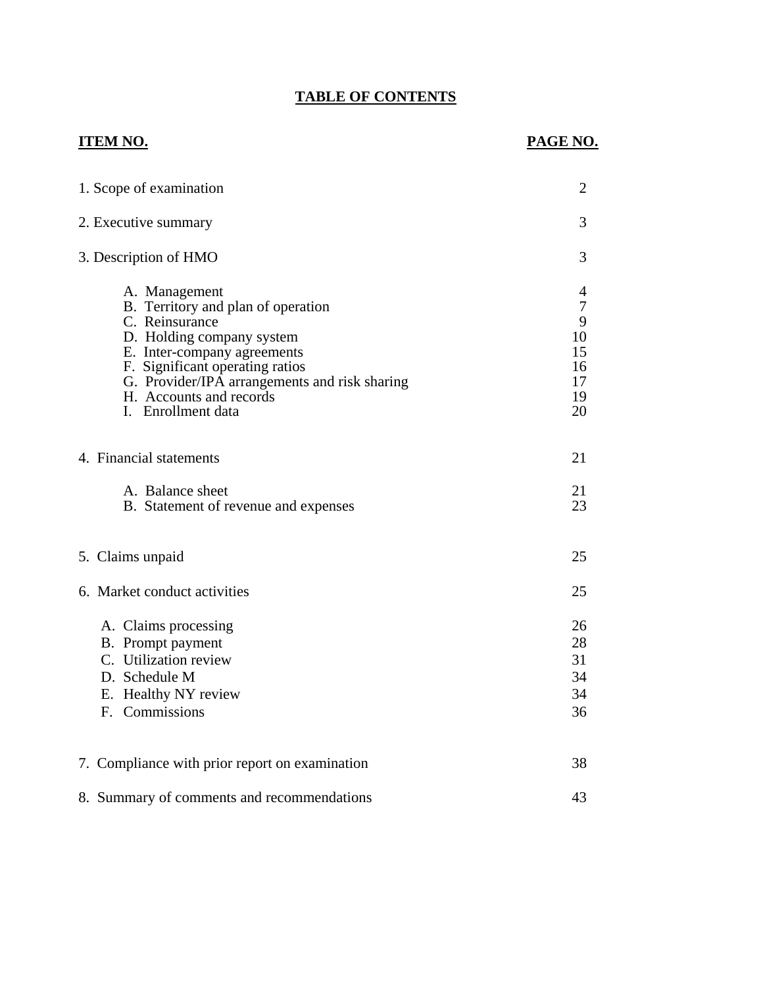# **TABLE OF CONTENTS**

# **ITEM NO.**

# **PAGE NO.**

| 1. Scope of examination                                                                                                                                                                                                                                                | $\overline{2}$                                       |
|------------------------------------------------------------------------------------------------------------------------------------------------------------------------------------------------------------------------------------------------------------------------|------------------------------------------------------|
| 2. Executive summary                                                                                                                                                                                                                                                   | 3                                                    |
| 3. Description of HMO                                                                                                                                                                                                                                                  | 3                                                    |
| A. Management<br>B. Territory and plan of operation<br>C. Reinsurance<br>D. Holding company system<br>E. Inter-company agreements<br>F. Significant operating ratios<br>G. Provider/IPA arrangements and risk sharing<br>H. Accounts and records<br>I. Enrollment data | 4<br>$\tau$<br>9<br>10<br>15<br>16<br>17<br>19<br>20 |
| 4. Financial statements                                                                                                                                                                                                                                                | 21                                                   |
| A. Balance sheet<br>B. Statement of revenue and expenses                                                                                                                                                                                                               | 21<br>23                                             |
| 5. Claims unpaid                                                                                                                                                                                                                                                       | 25                                                   |
| 6. Market conduct activities                                                                                                                                                                                                                                           | 25                                                   |
| A. Claims processing<br>B. Prompt payment<br>C. Utilization review<br>D. Schedule M<br>E. Healthy NY review<br>F. Commissions                                                                                                                                          | 26<br>28<br>31<br>34<br>34<br>36                     |
| 7. Compliance with prior report on examination                                                                                                                                                                                                                         | 38                                                   |
| 8. Summary of comments and recommendations                                                                                                                                                                                                                             | 43                                                   |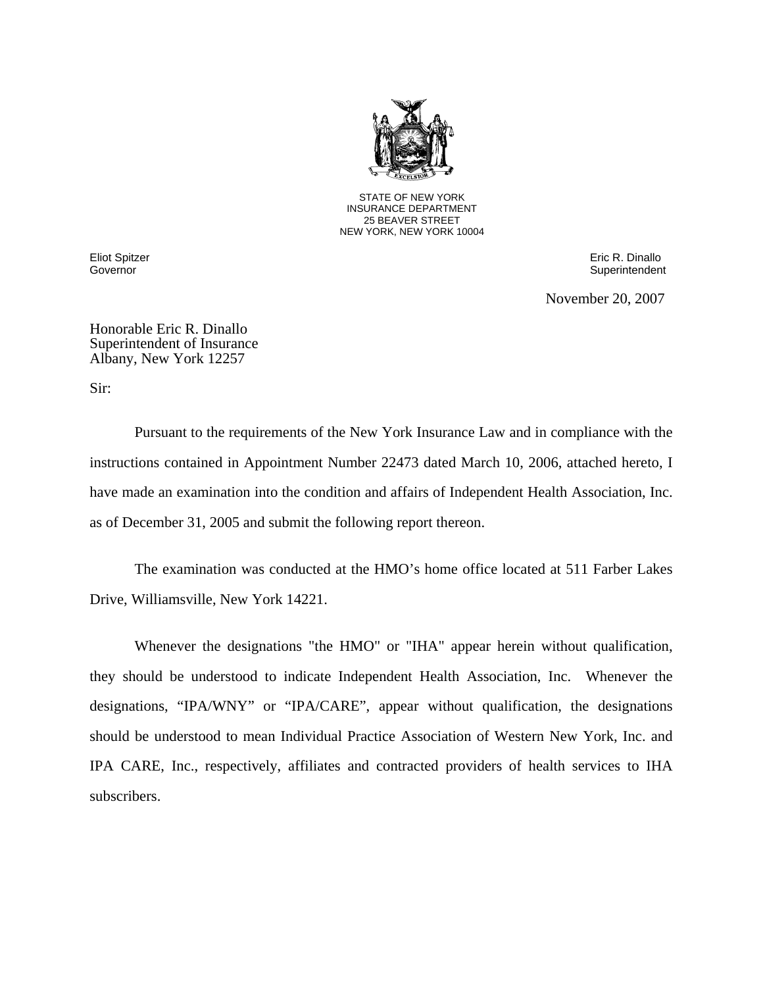

STATE OF NEW YORK INSURANCE DEPARTMENT 25 BEAVER STREET NEW YORK, NEW YORK 10004

Eliot Spitzer Eric R. Dinallo Governor Superintendent Contract Contract Contract Contract Contract Contract Contract Contract Contract Contract Contract Contract Contract Contract Contract Contract Contract Contract Contract Contract Contract Contract

November 20, 2007

Honorable Eric R. Dinallo Superintendent of Insurance Albany, New York 12257

Sir:

Pursuant to the requirements of the New York Insurance Law and in compliance with the instructions contained in Appointment Number 22473 dated March 10, 2006, attached hereto, I have made an examination into the condition and affairs of Independent Health Association, Inc. as of December 31, 2005 and submit the following report thereon.

The examination was conducted at the HMO's home office located at 511 Farber Lakes Drive, Williamsville, New York 14221.

Whenever the designations "the HMO" or "IHA" appear herein without qualification, they should be understood to indicate Independent Health Association, Inc. Whenever the designations, "IPA/WNY" or "IPA/CARE", appear without qualification, the designations should be understood to mean Individual Practice Association of Western New York, Inc. and IPA CARE, Inc., respectively, affiliates and contracted providers of health services to IHA subscribers.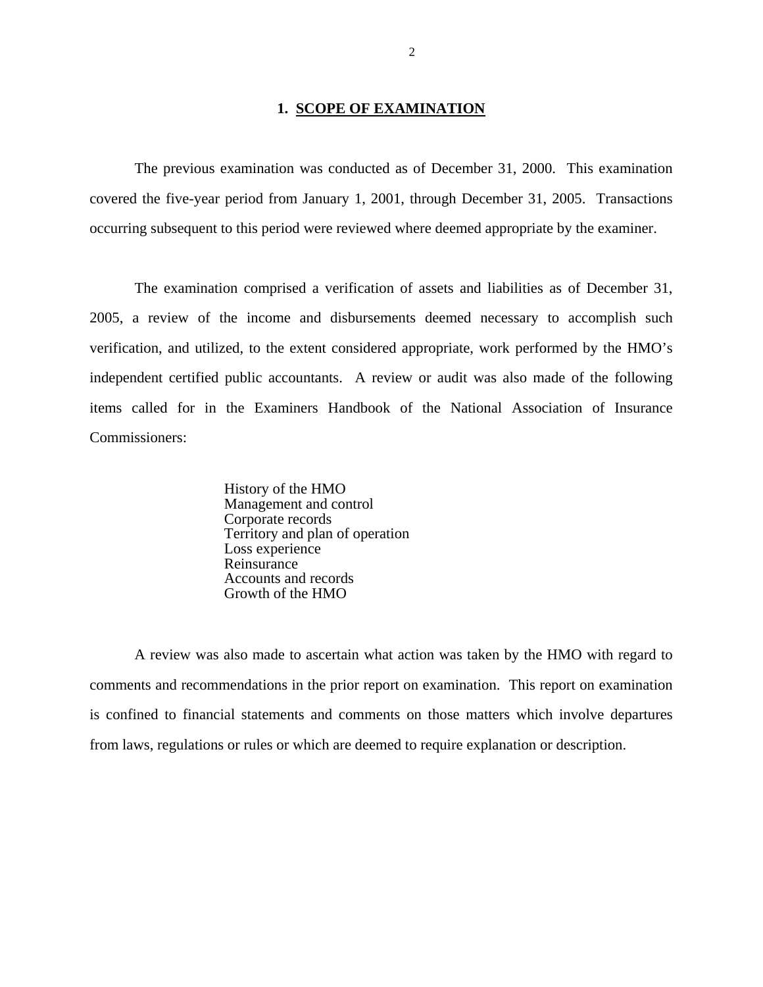# **1. SCOPE OF EXAMINATION**

<span id="page-3-0"></span>The previous examination was conducted as of December 31, 2000. This examination covered the five-year period from January 1, 2001, through December 31, 2005. Transactions occurring subsequent to this period were reviewed where deemed appropriate by the examiner.

The examination comprised a verification of assets and liabilities as of December 31, 2005, a review of the income and disbursements deemed necessary to accomplish such verification, and utilized, to the extent considered appropriate, work performed by the HMO's independent certified public accountants. A review or audit was also made of the following items called for in the Examiners Handbook of the National Association of Insurance Commissioners:

> History of the HMO Management and control Corporate records Territory and plan of operation Loss experience Reinsurance Accounts and records Growth of the HMO

A review was also made to ascertain what action was taken by the HMO with regard to comments and recommendations in the prior report on examination. This report on examination is confined to financial statements and comments on those matters which involve departures from laws, regulations or rules or which are deemed to require explanation or description.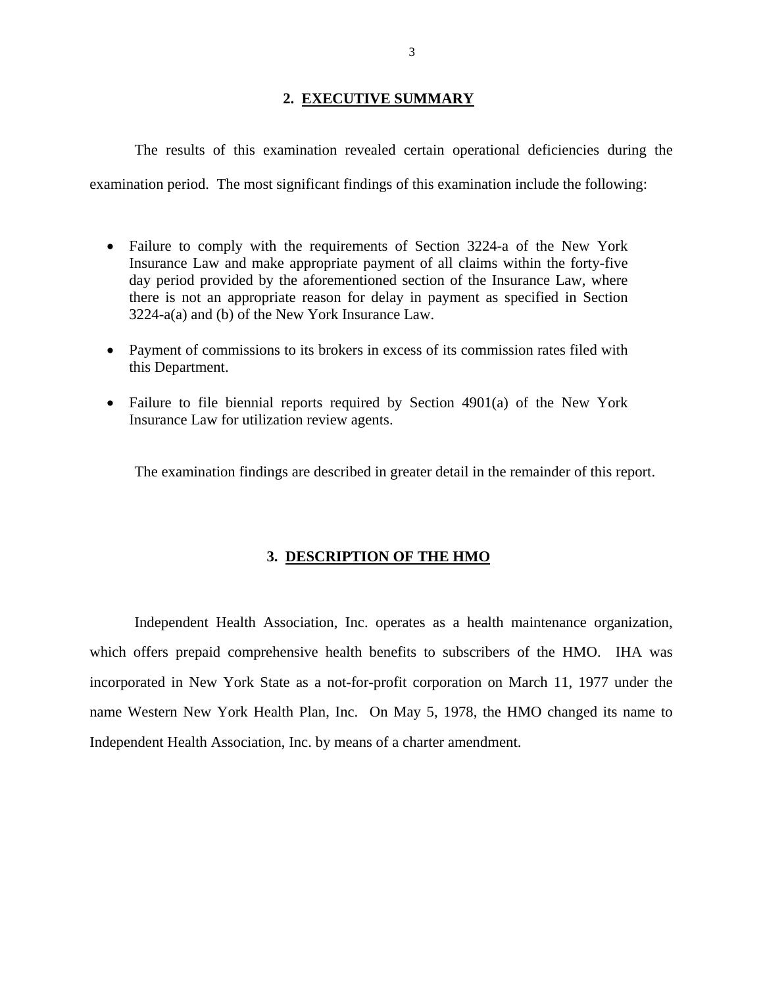# **2. EXECUTIVE SUMMARY**

<span id="page-4-0"></span>The results of this examination revealed certain operational deficiencies during the examination period. The most significant findings of this examination include the following:

- Failure to comply with the requirements of Section 3224-a of the New York Insurance Law and make appropriate payment of all claims within the forty-five day period provided by the aforementioned section of the Insurance Law, where there is not an appropriate reason for delay in payment as specified in Section 3224-a(a) and (b) of the New York Insurance Law.
- Payment of commissions to its brokers in excess of its commission rates filed with this Department.
- Failure to file biennial reports required by Section 4901(a) of the New York Insurance Law for utilization review agents.

The examination findings are described in greater detail in the remainder of this report.

# **3. DESCRIPTION OF THE HMO**

Independent Health Association, Inc. operates as a health maintenance organization, which offers prepaid comprehensive health benefits to subscribers of the HMO. IHA was incorporated in New York State as a not-for-profit corporation on March 11, 1977 under the name Western New York Health Plan, Inc. On May 5, 1978, the HMO changed its name to Independent Health Association, Inc. by means of a charter amendment.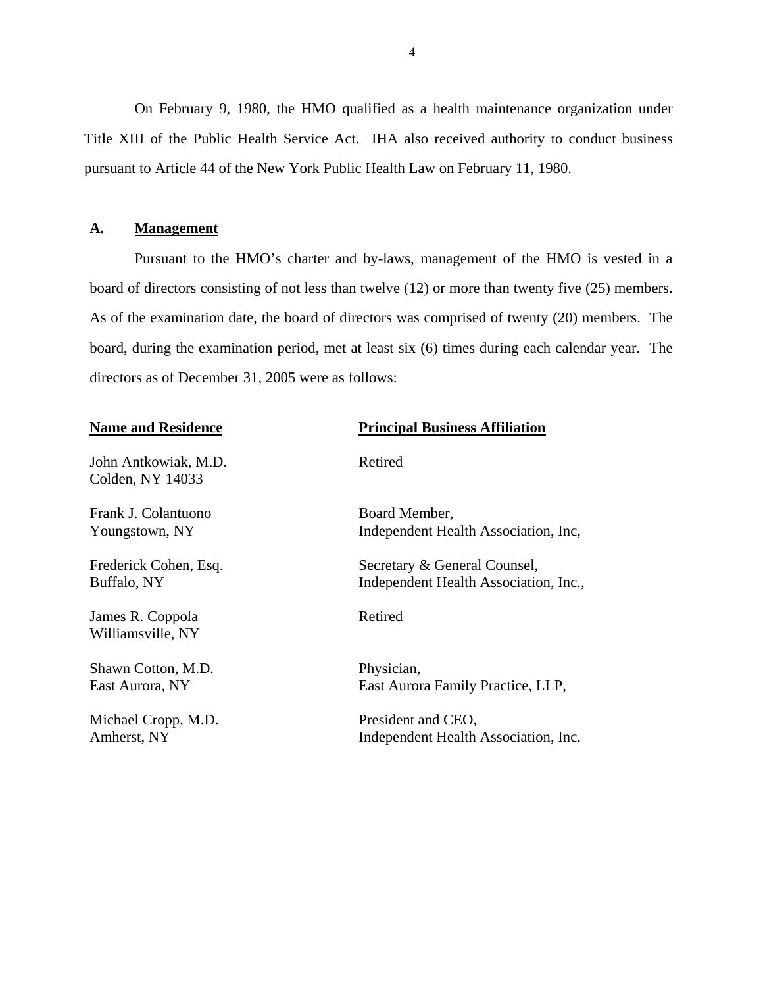<span id="page-5-0"></span>On February 9, 1980, the HMO qualified as a health maintenance organization under Title XIII of the Public Health Service Act. IHA also received authority to conduct business pursuant to Article 44 of the New York Public Health Law on February 11, 1980.

# **A. Management**

Pursuant to the HMO's charter and by-laws, management of the HMO is vested in a board of directors consisting of not less than twelve (12) or more than twenty five (25) members. As of the examination date, the board of directors was comprised of twenty (20) members. The board, during the examination period, met at least six (6) times during each calendar year. The directors as of December 31, 2005 were as follows:

John Antkowiak, M.D. Retired Colden, NY 14033

Frank J. Colantuono Board Member,

James R. Coppola Retired Williamsville, NY

Shawn Cotton, M.D. Physician,

Michael Cropp, M.D. President and CEO,

# **Name and Residence Principal Business Affiliation**

Youngstown, NY Independent Health Association, Inc,

Frederick Cohen, Esq. Secretary & General Counsel, Buffalo, NY Independent Health Association, Inc.,

East Aurora, NY East Aurora Family Practice, LLP,

Amherst, NY Independent Health Association, Inc.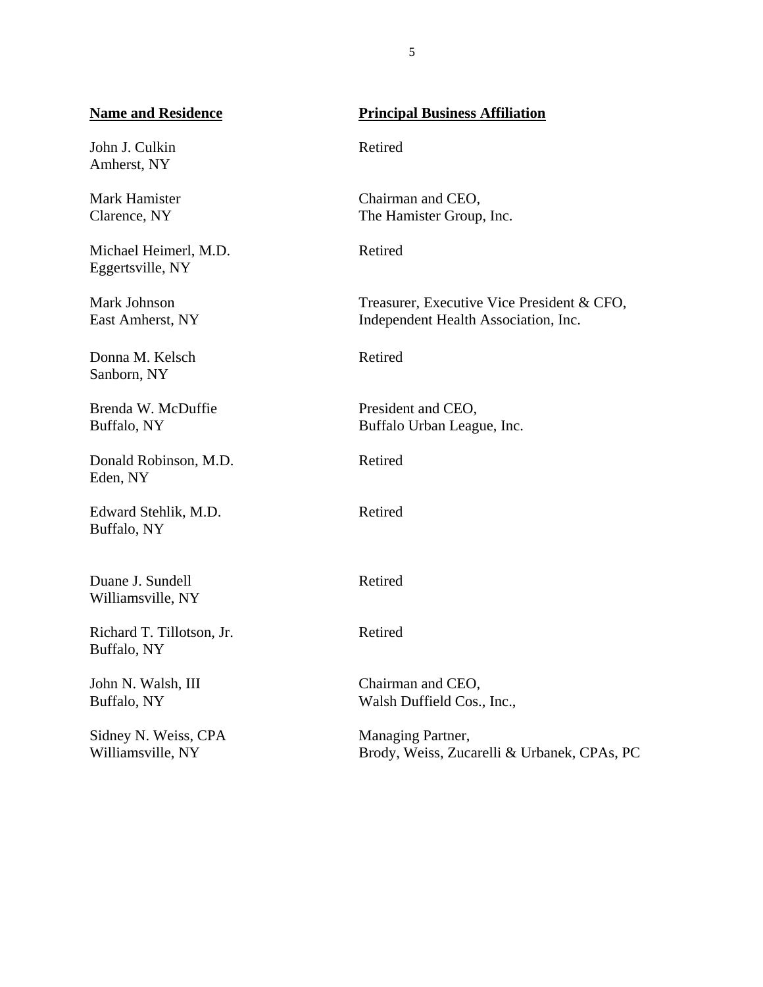# **Name and Residence**

John J. Culkin Amherst, NY

Clarence, NY Mark Hamister

Michael Heimerl, M.D. Eggertsville, NY

Mark Johnson East Amherst, NY

Donna M. Kelsch Sanborn, NY

Brenda W. McDuffie Buffalo, NY

Donald Robinson, M.D. Eden, NY

Edward Stehlik, M.D. Buffalo, NY

Duane J. Sundell Williamsville, NY

Richard T. Tillotson, Jr. Buffalo, NY

John N. Walsh, III Buffalo, NY

Sidney N. Weiss, CPA Williamsville, NY

# **Principal Business Affiliation**

Retired

Chairman and CEO, The Hamister Group, Inc.

Retired

Treasurer, Executive Vice President & CFO, Independent Health Association, Inc.

Retired

President and CEO, Buffalo Urban League, Inc.

Retired

Retired

Retired

Retired

Chairman and CEO, Walsh Duffield Cos., Inc.,

Managing Partner, Brody, Weiss, Zucarelli & Urbanek, CPAs, PC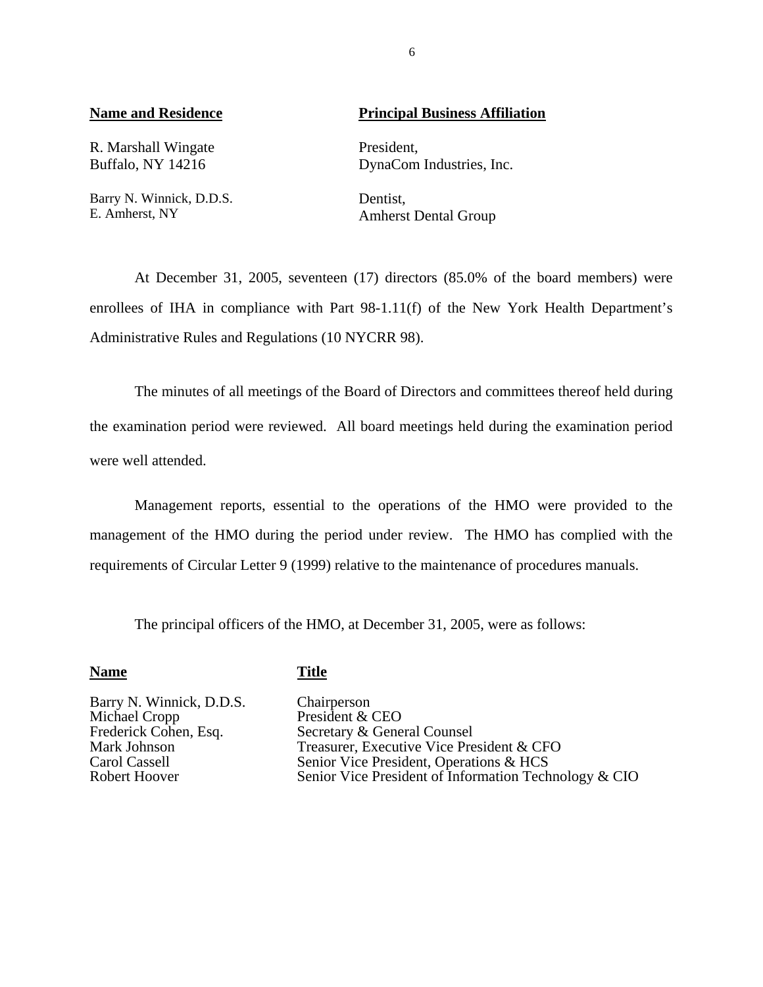R. Marshall Wingate President,

Barry N. Winnick, D.D.S.<br>
E. Amherst, NY<br>
Amherst

# **Name and Residence**  Principal Business Affiliation

Buffalo, NY 14216 DynaCom Industries, Inc.

Amherst Dental Group

At December 31, 2005, seventeen (17) directors (85.0% of the board members) were enrollees of IHA in compliance with Part 98-1.11(f) of the New York Health Department's Administrative Rules and Regulations (10 NYCRR 98).

The minutes of all meetings of the Board of Directors and committees thereof held during the examination period were reviewed. All board meetings held during the examination period were well attended.

Management reports, essential to the operations of the HMO were provided to the management of the HMO during the period under review. The HMO has complied with the requirements of Circular Letter 9 (1999) relative to the maintenance of procedures manuals.

The principal officers of the HMO, at December 31, 2005, were as follows:

# **Name** Title

Barry N. Winnick, D.D.S.<br>
Michael Cropp<br>
President & Michael Cropp President & CEO<br>Frederick Cohen, Esq. Secretary & Gene

Frederick Cohen, Esq.<br>
Mark Johnson<br>
Treasurer, Executive Vice Pre Mark Johnson<br>
Treasurer, Executive Vice President & CFO<br>
Senior Vice President, Operations & HCS Carol Cassell Senior Vice President, Operations & HCS<br>
Robert Hoover Senior Vice President of Information Tech Senior Vice President of Information Technology & CIO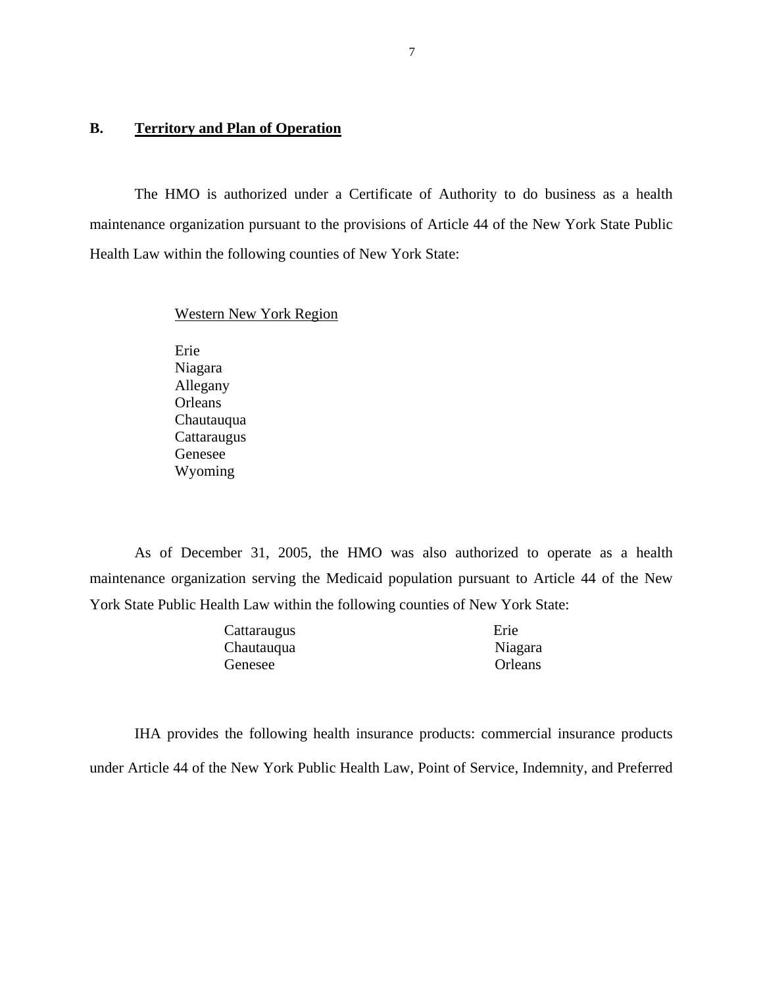# <span id="page-8-0"></span>**B. Territory and Plan of Operation**

The HMO is authorized under a Certificate of Authority to do business as a health maintenance organization pursuant to the provisions of Article 44 of the New York State Public Health Law within the following counties of New York State:

### Western New York Region

Erie Niagara Allegany **Orleans** Chautauqua **Cattaraugus** Genesee Wyoming

As of December 31, 2005, the HMO was also authorized to operate as a health maintenance organization serving the Medicaid population pursuant to Article 44 of the New York State Public Health Law within the following counties of New York State:

| Cattaraugus | Erie    |
|-------------|---------|
| Chautauqua  | Niagara |
| Genesee     | Orleans |

IHA provides the following health insurance products: commercial insurance products under Article 44 of the New York Public Health Law, Point of Service, Indemnity, and Preferred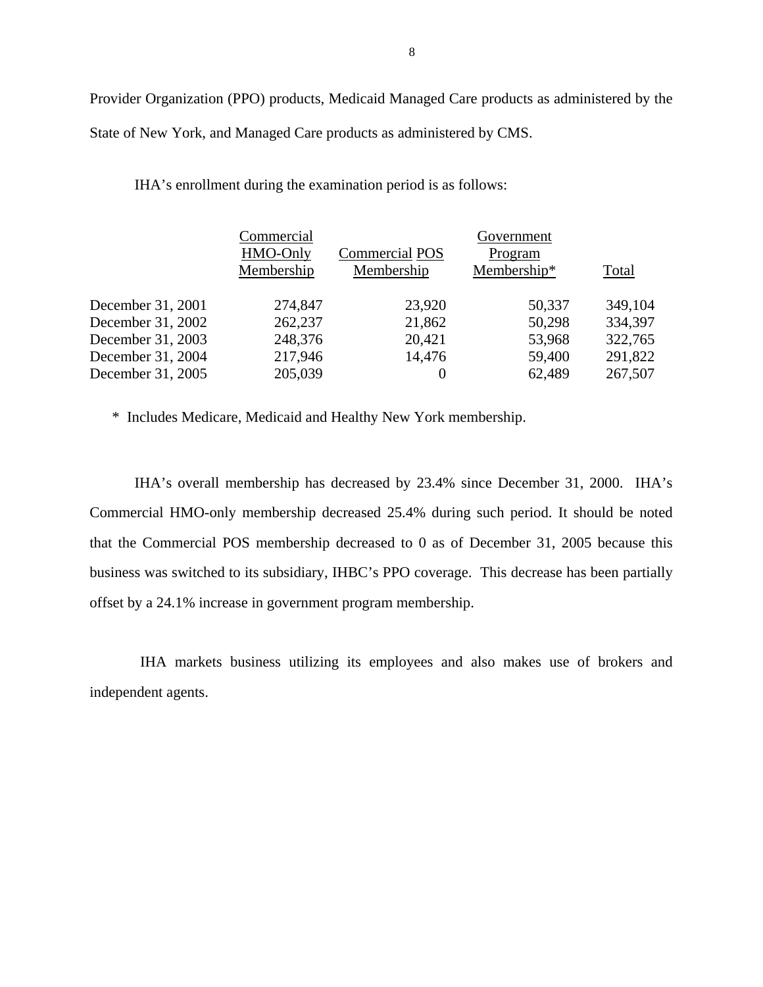Provider Organization (PPO) products, Medicaid Managed Care products as administered by the State of New York, and Managed Care products as administered by CMS.

IHA's enrollment during the examination period is as follows:

|                   | Commercial |                       | Government  |         |
|-------------------|------------|-----------------------|-------------|---------|
|                   | HMO-Only   | <b>Commercial POS</b> | Program     |         |
|                   | Membership | Membership            | Membership* | Total   |
| December 31, 2001 | 274,847    | 23,920                | 50,337      | 349,104 |
| December 31, 2002 | 262,237    | 21,862                | 50,298      | 334,397 |
| December 31, 2003 | 248,376    | 20,421                | 53,968      | 322,765 |
| December 31, 2004 | 217,946    | 14,476                | 59,400      | 291,822 |
| December 31, 2005 | 205,039    | 0                     | 62,489      | 267,507 |

\* Includes Medicare, Medicaid and Healthy New York membership.

IHA's overall membership has decreased by 23.4% since December 31, 2000. IHA's Commercial HMO-only membership decreased 25.4% during such period. It should be noted that the Commercial POS membership decreased to 0 as of December 31, 2005 because this business was switched to its subsidiary, IHBC's PPO coverage. This decrease has been partially offset by a 24.1% increase in government program membership.

IHA markets business utilizing its employees and also makes use of brokers and independent agents.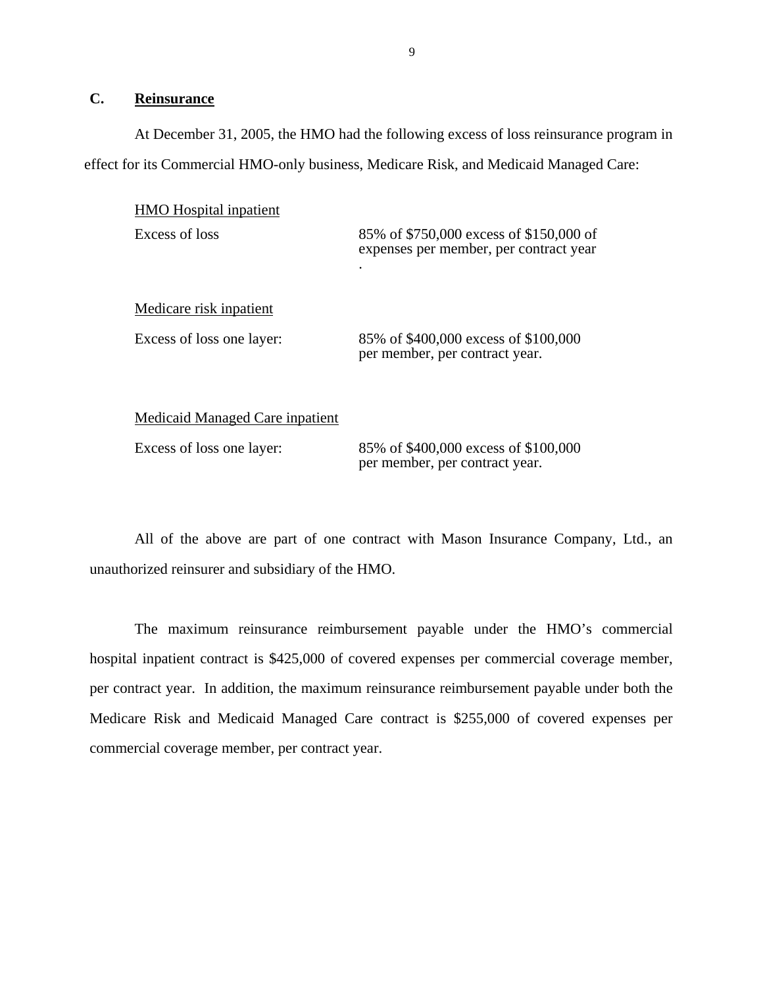# <span id="page-10-0"></span>**C. Reinsurance**

At December 31, 2005, the HMO had the following excess of loss reinsurance program in effect for its Commercial HMO-only business, Medicare Risk, and Medicaid Managed Care:

| <b>HMO</b> Hospital inpatient          |                                                                                                |
|----------------------------------------|------------------------------------------------------------------------------------------------|
| Excess of loss                         | 85% of \$750,000 excess of \$150,000 of<br>expenses per member, per contract year<br>$\bullet$ |
| Medicare risk inpatient                |                                                                                                |
| Excess of loss one layer:              | 85% of \$400,000 excess of \$100,000<br>per member, per contract year.                         |
| <b>Medicaid Managed Care inpatient</b> |                                                                                                |
| Excess of loss one layer:              | 85% of \$400,000 excess of \$100,000                                                           |

All of the above are part of one contract with Mason Insurance Company, Ltd., an unauthorized reinsurer and subsidiary of the HMO.

per member, per contract year.

The maximum reinsurance reimbursement payable under the HMO's commercial hospital inpatient contract is \$425,000 of covered expenses per commercial coverage member, per contract year. In addition, the maximum reinsurance reimbursement payable under both the Medicare Risk and Medicaid Managed Care contract is \$255,000 of covered expenses per commercial coverage member, per contract year.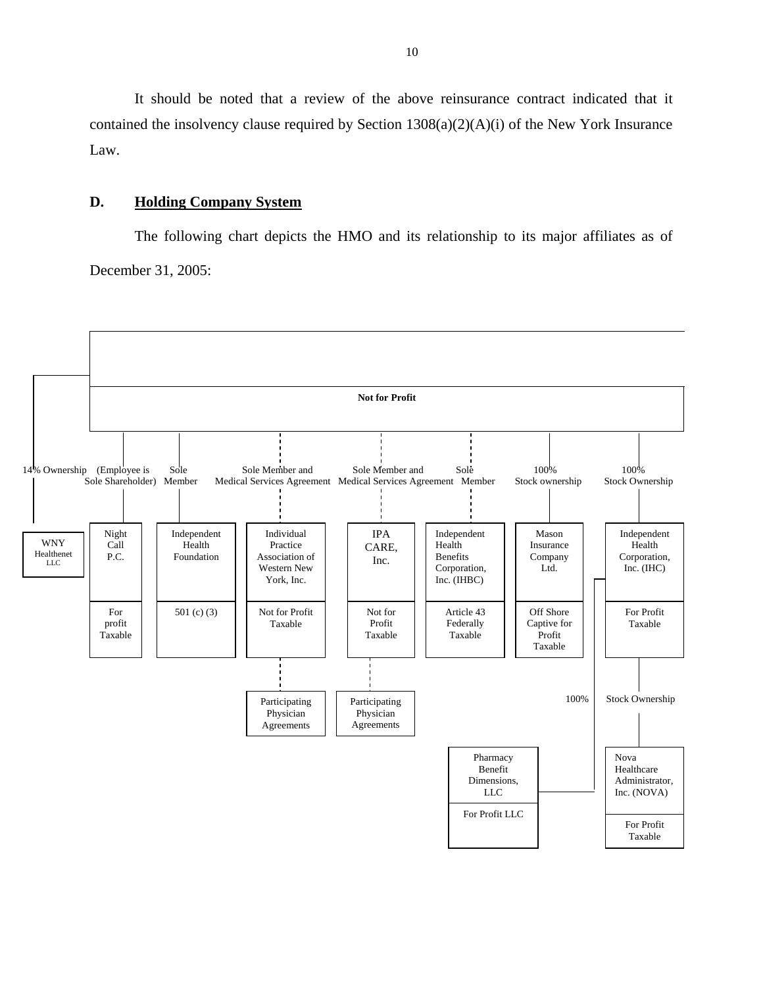<span id="page-11-0"></span>It should be noted that a review of the above reinsurance contract indicated that it contained the insolvency clause required by Section 1308(a)(2)(A)(i) of the New York Insurance Law.

# **D. Holding Company System**

The following chart depicts the HMO and its relationship to its major affiliates as of December 31, 2005:

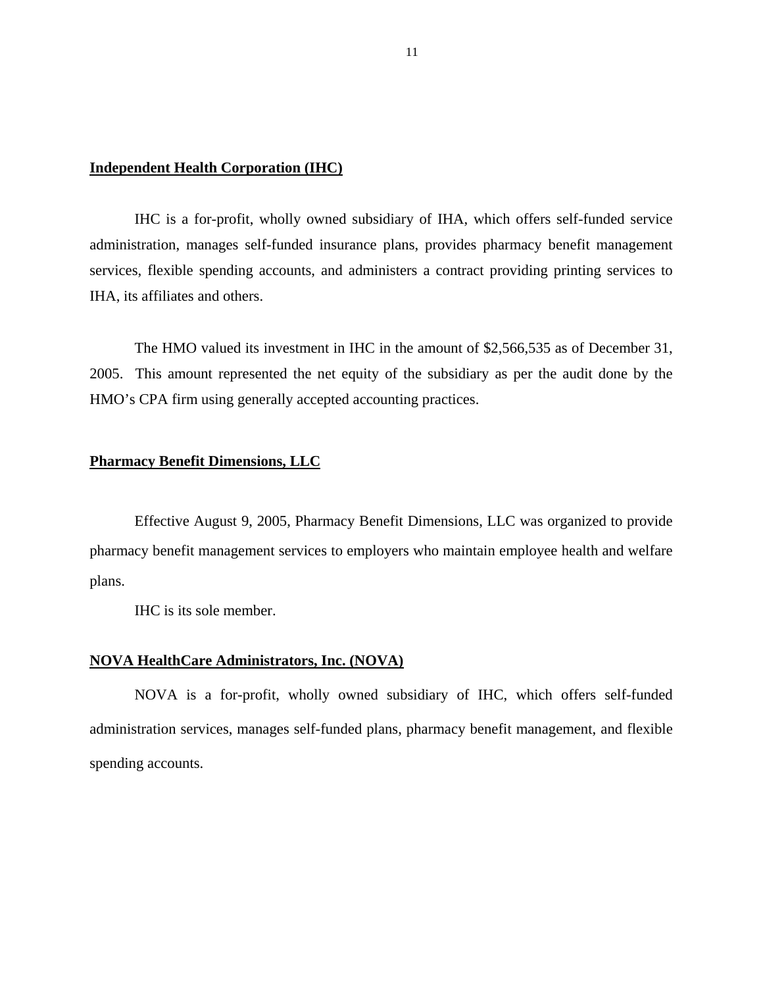# **Independent Health Corporation (IHC)**

IHC is a for-profit, wholly owned subsidiary of IHA, which offers self-funded service administration, manages self-funded insurance plans, provides pharmacy benefit management services, flexible spending accounts, and administers a contract providing printing services to IHA, its affiliates and others.

The HMO valued its investment in IHC in the amount of \$2,566,535 as of December 31, 2005. This amount represented the net equity of the subsidiary as per the audit done by the HMO's CPA firm using generally accepted accounting practices.

# **Pharmacy Benefit Dimensions, LLC**

Effective August 9, 2005, Pharmacy Benefit Dimensions, LLC was organized to provide pharmacy benefit management services to employers who maintain employee health and welfare plans.

IHC is its sole member.

# **NOVA HealthCare Administrators, Inc. (NOVA)**

NOVA is a for-profit, wholly owned subsidiary of IHC, which offers self-funded administration services, manages self-funded plans, pharmacy benefit management, and flexible spending accounts.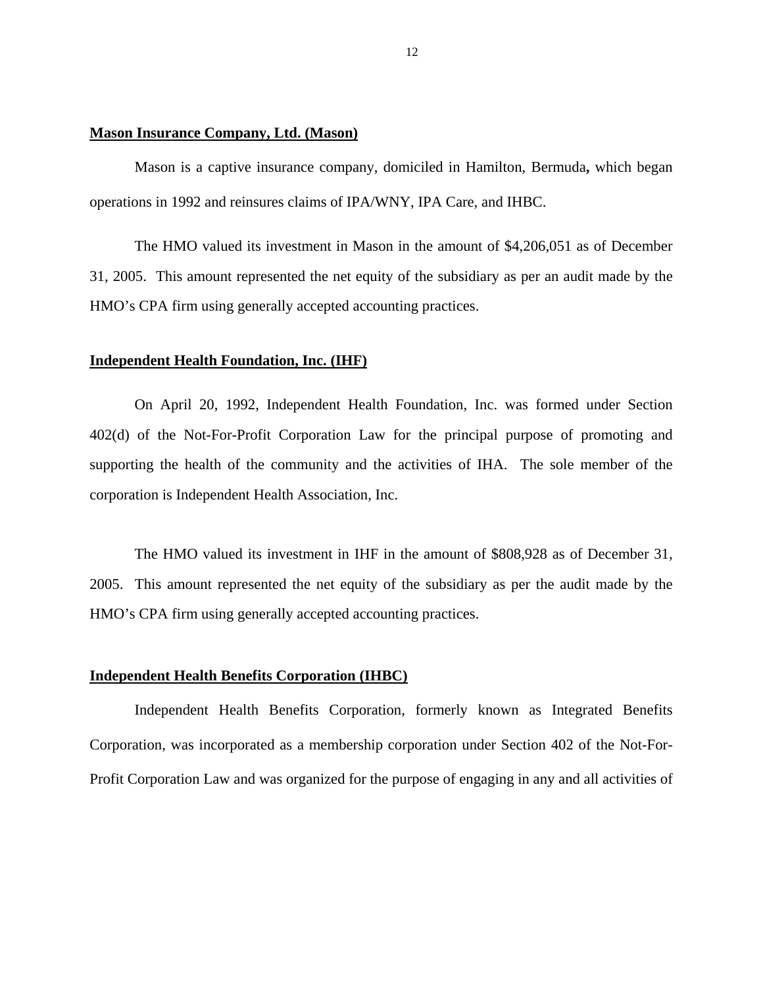# **Mason Insurance Company, Ltd. (Mason)**

Mason is a captive insurance company, domiciled in Hamilton, Bermuda**,** which began operations in 1992 and reinsures claims of IPA/WNY, IPA Care, and IHBC.

The HMO valued its investment in Mason in the amount of \$4,206,051 as of December 31, 2005. This amount represented the net equity of the subsidiary as per an audit made by the HMO's CPA firm using generally accepted accounting practices.

#### **Independent Health Foundation, Inc. (IHF)**

On April 20, 1992, Independent Health Foundation, Inc. was formed under Section 402(d) of the Not-For-Profit Corporation Law for the principal purpose of promoting and supporting the health of the community and the activities of IHA. The sole member of the corporation is Independent Health Association, Inc.

The HMO valued its investment in IHF in the amount of \$808,928 as of December 31, 2005. This amount represented the net equity of the subsidiary as per the audit made by the HMO's CPA firm using generally accepted accounting practices.

# **Independent Health Benefits Corporation (IHBC)**

Independent Health Benefits Corporation, formerly known as Integrated Benefits Corporation, was incorporated as a membership corporation under Section 402 of the Not-For-Profit Corporation Law and was organized for the purpose of engaging in any and all activities of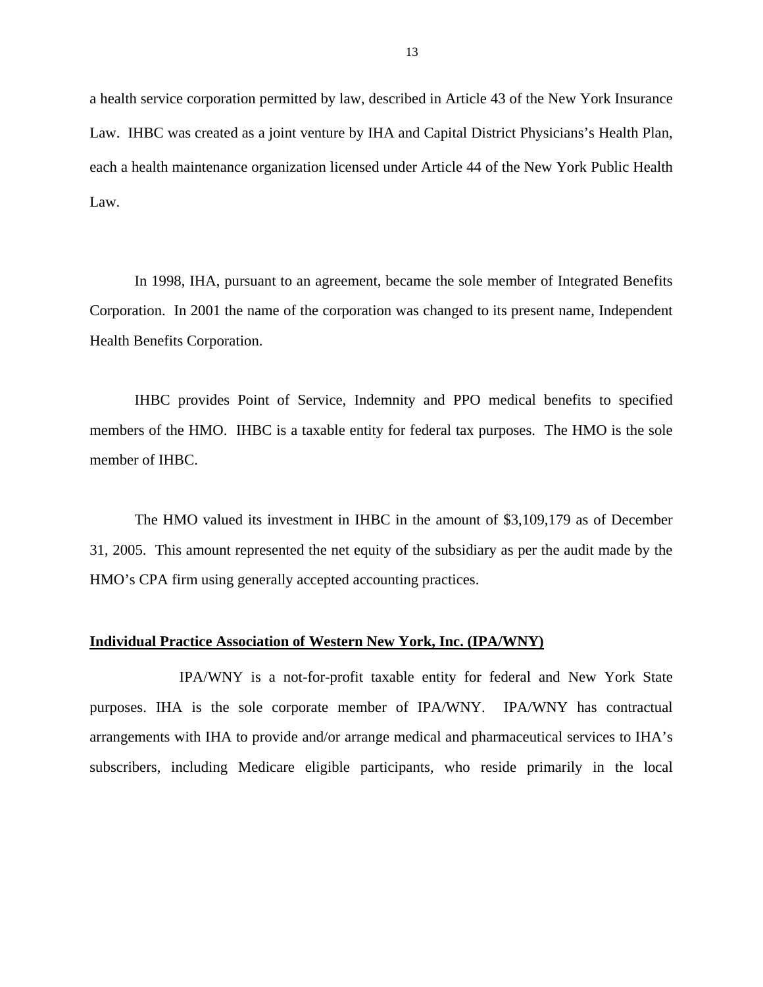a health service corporation permitted by law, described in Article 43 of the New York Insurance Law. IHBC was created as a joint venture by IHA and Capital District Physicians's Health Plan, each a health maintenance organization licensed under Article 44 of the New York Public Health Law.

In 1998, IHA, pursuant to an agreement, became the sole member of Integrated Benefits Corporation. In 2001 the name of the corporation was changed to its present name, Independent Health Benefits Corporation.

IHBC provides Point of Service, Indemnity and PPO medical benefits to specified members of the HMO. IHBC is a taxable entity for federal tax purposes. The HMO is the sole member of IHBC.

The HMO valued its investment in IHBC in the amount of \$3,109,179 as of December 31, 2005. This amount represented the net equity of the subsidiary as per the audit made by the HMO's CPA firm using generally accepted accounting practices.

#### **Individual Practice Association of Western New York, Inc. (IPA/WNY)**

IPA/WNY is a not-for-profit taxable entity for federal and New York State purposes. IHA is the sole corporate member of IPA/WNY. IPA/WNY has contractual arrangements with IHA to provide and/or arrange medical and pharmaceutical services to IHA's subscribers, including Medicare eligible participants, who reside primarily in the local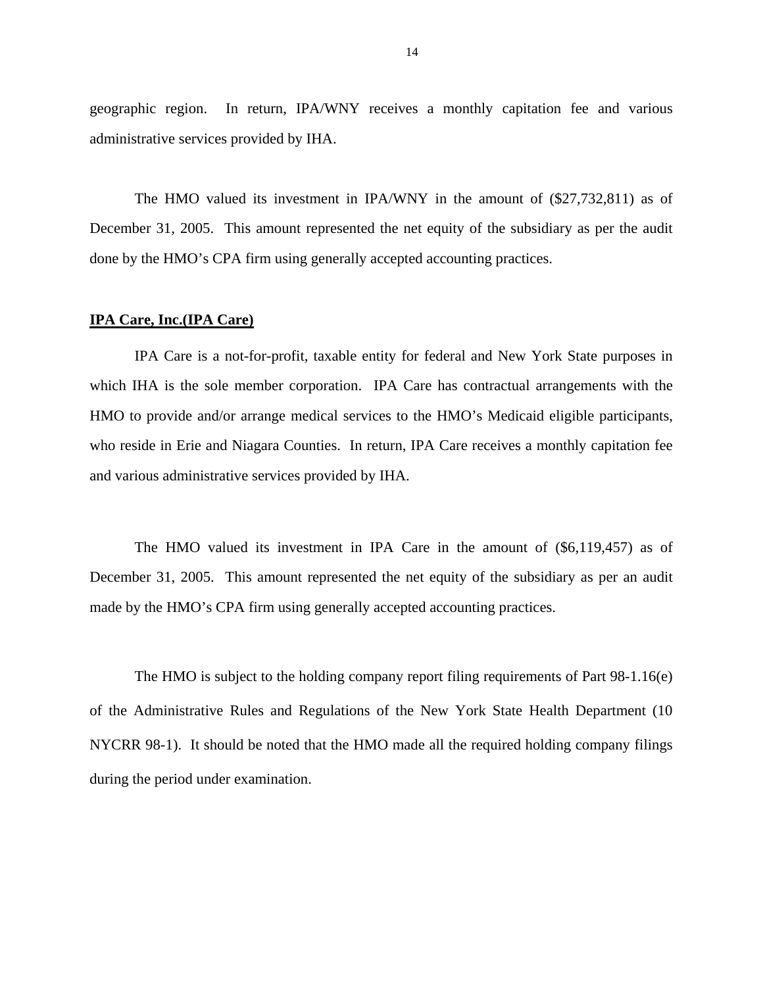geographic region. In return, IPA/WNY receives a monthly capitation fee and various administrative services provided by IHA.

The HMO valued its investment in IPA/WNY in the amount of (\$27,732,811) as of December 31, 2005. This amount represented the net equity of the subsidiary as per the audit done by the HMO's CPA firm using generally accepted accounting practices.

#### **IPA Care, Inc.(IPA Care)**

IPA Care is a not-for-profit, taxable entity for federal and New York State purposes in which IHA is the sole member corporation. IPA Care has contractual arrangements with the HMO to provide and/or arrange medical services to the HMO's Medicaid eligible participants, who reside in Erie and Niagara Counties. In return, IPA Care receives a monthly capitation fee and various administrative services provided by IHA.

The HMO valued its investment in IPA Care in the amount of (\$6,119,457) as of December 31, 2005. This amount represented the net equity of the subsidiary as per an audit made by the HMO's CPA firm using generally accepted accounting practices.

The HMO is subject to the holding company report filing requirements of Part 98-1.16(e) of the Administrative Rules and Regulations of the New York State Health Department (10 NYCRR 98-1). It should be noted that the HMO made all the required holding company filings during the period under examination.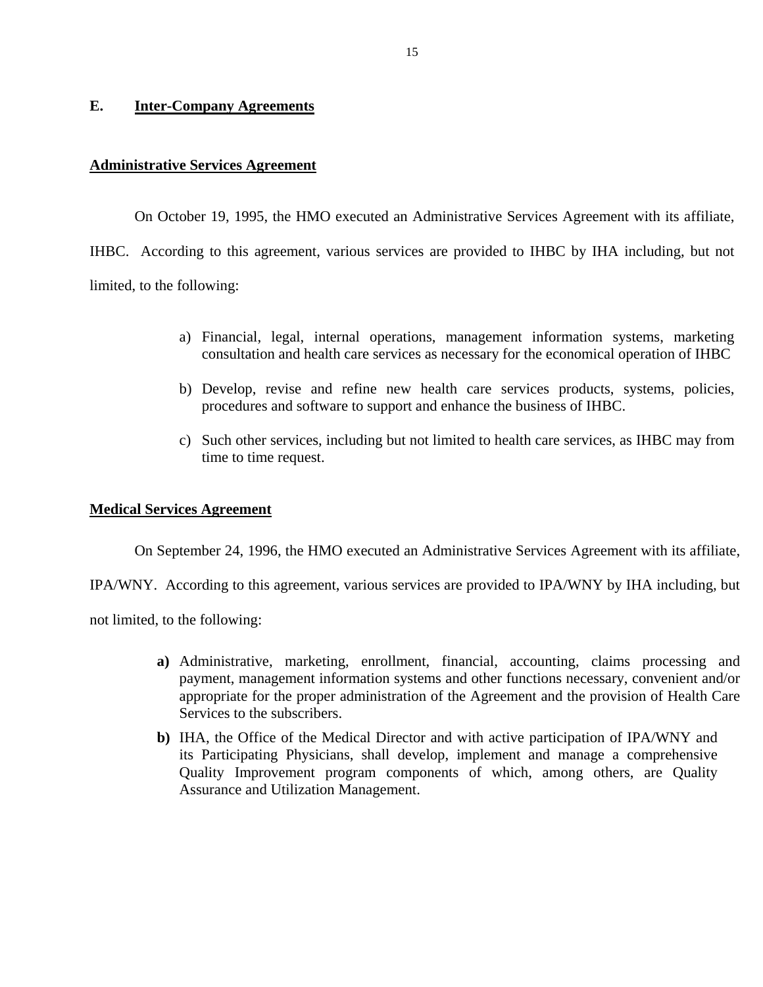# <span id="page-16-0"></span>**E. Inter-Company Agreements**

### **Administrative Services Agreement**

On October 19, 1995, the HMO executed an Administrative Services Agreement with its affiliate, IHBC. According to this agreement, various services are provided to IHBC by IHA including, but not limited, to the following:

- a) Financial, legal, internal operations, management information systems, marketing consultation and health care services as necessary for the economical operation of IHBC
- b) Develop, revise and refine new health care services products, systems, policies, procedures and software to support and enhance the business of IHBC.
- c) Such other services, including but not limited to health care services, as IHBC may from time to time request.

#### **Medical Services Agreement**

On September 24, 1996, the HMO executed an Administrative Services Agreement with its affiliate,

IPA/WNY. According to this agreement, various services are provided to IPA/WNY by IHA including, but

not limited, to the following:

- **a)** Administrative, marketing, enrollment, financial, accounting, claims processing and payment, management information systems and other functions necessary, convenient and/or appropriate for the proper administration of the Agreement and the provision of Health Care Services to the subscribers.
- **b)** IHA, the Office of the Medical Director and with active participation of IPA/WNY and its Participating Physicians, shall develop, implement and manage a comprehensive Quality Improvement program components of which, among others, are Quality Assurance and Utilization Management.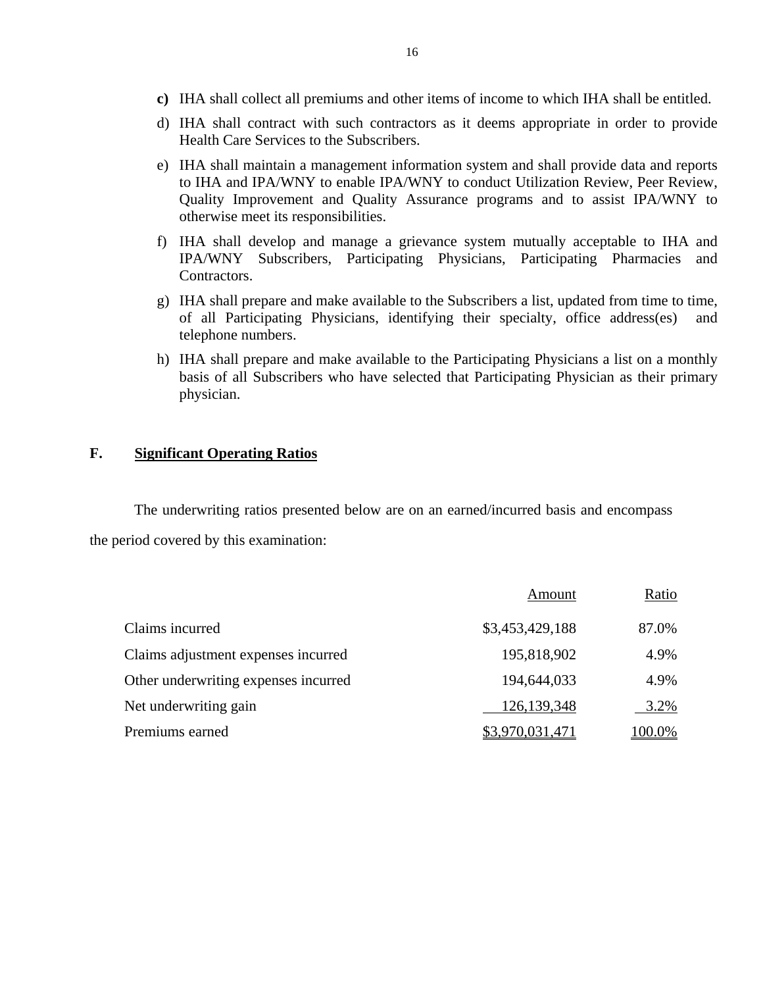- **c)** IHA shall collect all premiums and other items of income to which IHA shall be entitled.
- d) IHA shall contract with such contractors as it deems appropriate in order to provide Health Care Services to the Subscribers.
- e) IHA shall maintain a management information system and shall provide data and reports to IHA and IPA/WNY to enable IPA/WNY to conduct Utilization Review, Peer Review, Quality Improvement and Quality Assurance programs and to assist IPA/WNY to otherwise meet its responsibilities.
- f) IHA shall develop and manage a grievance system mutually acceptable to IHA and IPA/WNY Subscribers, Participating Physicians, Participating Pharmacies and Contractors.
- g) IHA shall prepare and make available to the Subscribers a list, updated from time to time, of all Participating Physicians, identifying their specialty, office address(es) and telephone numbers.
- h) IHA shall prepare and make available to the Participating Physicians a list on a monthly basis of all Subscribers who have selected that Participating Physician as their primary physician.

# **F. Significant Operating Ratios**

The underwriting ratios presented below are on an earned/incurred basis and encompass the period covered by this examination:

|                                      | Amount          | Ratio  |
|--------------------------------------|-----------------|--------|
| Claims incurred                      | \$3,453,429,188 | 87.0%  |
| Claims adjustment expenses incurred  | 195,818,902     | 4.9%   |
| Other underwriting expenses incurred | 194,644,033     | 4.9%   |
| Net underwriting gain                | 126, 139, 348   | 3.2%   |
| Premiums earned                      | \$3,970,031,471 | 100.0% |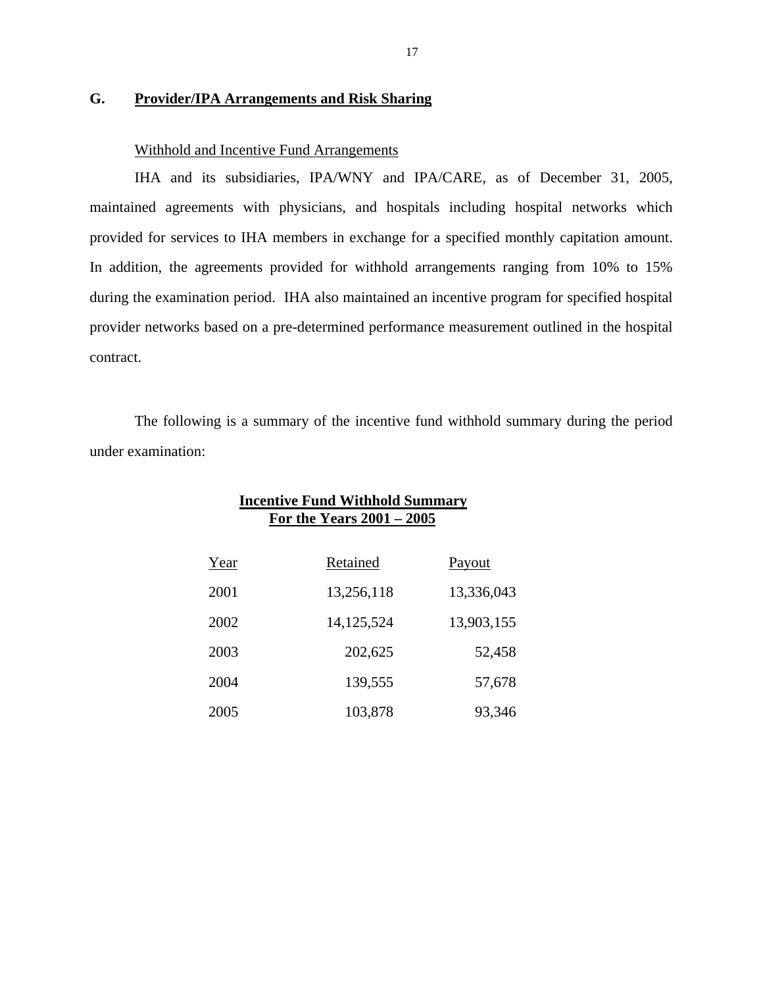# **G. Provider/IPA Arrangements and Risk Sharing**

# Withhold and Incentive Fund Arrangements

IHA and its subsidiaries, IPA/WNY and IPA/CARE, as of December 31, 2005, maintained agreements with physicians, and hospitals including hospital networks which provided for services to IHA members in exchange for a specified monthly capitation amount. In addition, the agreements provided for withhold arrangements ranging from 10% to 15% during the examination period. IHA also maintained an incentive program for specified hospital provider networks based on a pre-determined performance measurement outlined in the hospital contract.

The following is a summary of the incentive fund withhold summary during the period under examination:

|      | Incentive Fund Withhold Summary<br>For the Years $2001 - 2005$ |            |  |  |
|------|----------------------------------------------------------------|------------|--|--|
| Year | Retained                                                       | Payout     |  |  |
| 2001 | 13,256,118                                                     | 13,336,043 |  |  |
| 2002 | 14, 125, 524                                                   | 13,903,155 |  |  |
| 2003 | 202,625                                                        | 52,458     |  |  |
| 2004 | 139,555                                                        | 57,678     |  |  |
| 2005 | 103,878                                                        | 93,346     |  |  |

# **Incentive Fund Withhold Summary**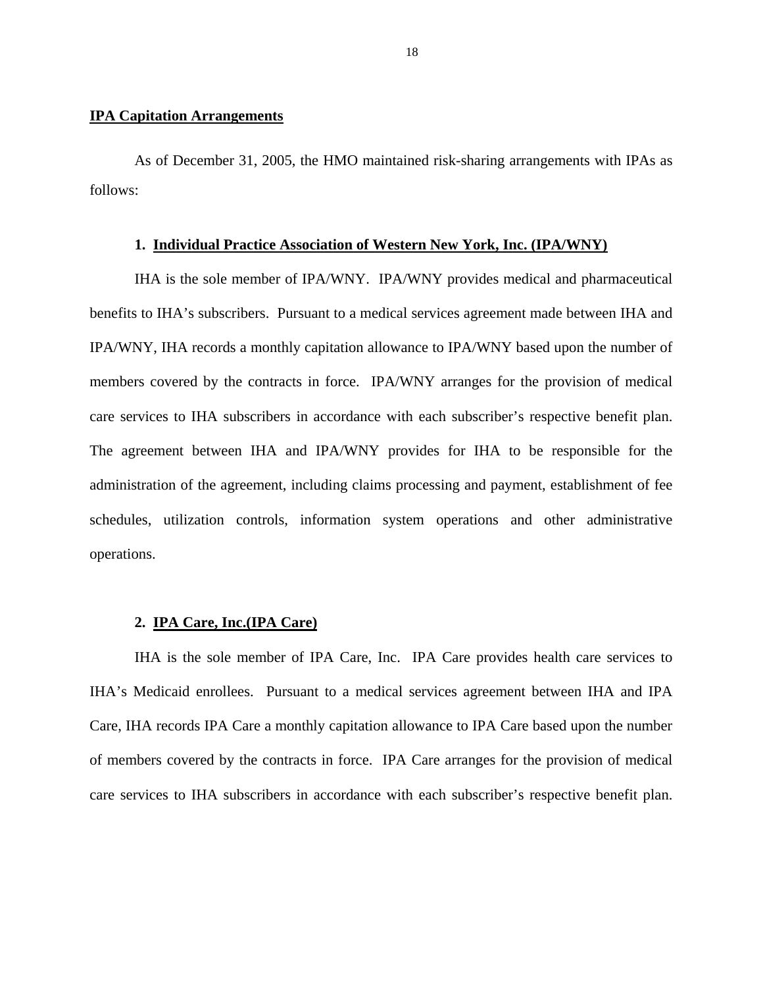# **IPA Capitation Arrangements**

As of December 31, 2005, the HMO maintained risk-sharing arrangements with IPAs as follows:

#### **1. Individual Practice Association of Western New York, Inc. (IPA/WNY)**

IHA is the sole member of IPA/WNY. IPA/WNY provides medical and pharmaceutical benefits to IHA's subscribers. Pursuant to a medical services agreement made between IHA and IPA/WNY, IHA records a monthly capitation allowance to IPA/WNY based upon the number of members covered by the contracts in force. IPA/WNY arranges for the provision of medical care services to IHA subscribers in accordance with each subscriber's respective benefit plan. The agreement between IHA and IPA/WNY provides for IHA to be responsible for the administration of the agreement, including claims processing and payment, establishment of fee schedules, utilization controls, information system operations and other administrative operations.

# **2. IPA Care, Inc.(IPA Care)**

IHA is the sole member of IPA Care, Inc. IPA Care provides health care services to IHA's Medicaid enrollees. Pursuant to a medical services agreement between IHA and IPA Care, IHA records IPA Care a monthly capitation allowance to IPA Care based upon the number of members covered by the contracts in force. IPA Care arranges for the provision of medical care services to IHA subscribers in accordance with each subscriber's respective benefit plan.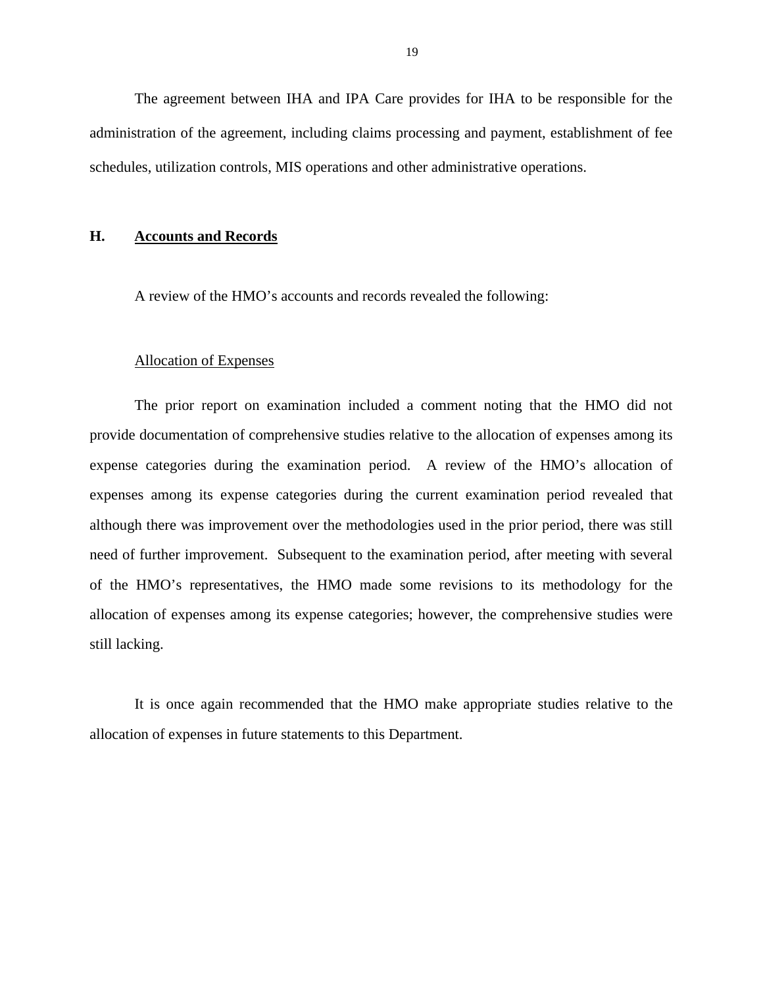<span id="page-20-0"></span>The agreement between IHA and IPA Care provides for IHA to be responsible for the administration of the agreement, including claims processing and payment, establishment of fee schedules, utilization controls, MIS operations and other administrative operations.

# **H. Accounts and Records**

A review of the HMO's accounts and records revealed the following:

### Allocation of Expenses

The prior report on examination included a comment noting that the HMO did not provide documentation of comprehensive studies relative to the allocation of expenses among its expense categories during the examination period. A review of the HMO's allocation of expenses among its expense categories during the current examination period revealed that although there was improvement over the methodologies used in the prior period, there was still need of further improvement. Subsequent to the examination period, after meeting with several of the HMO's representatives, the HMO made some revisions to its methodology for the allocation of expenses among its expense categories; however, the comprehensive studies were still lacking.

It is once again recommended that the HMO make appropriate studies relative to the allocation of expenses in future statements to this Department.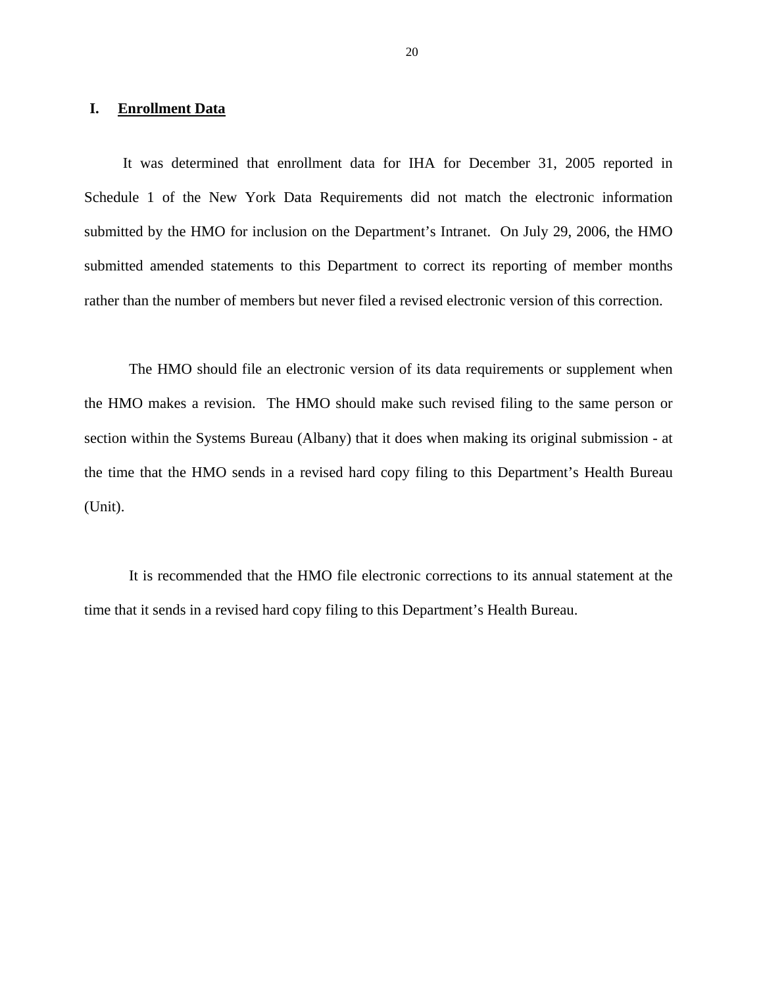# <span id="page-21-0"></span>**I. Enrollment Data**

It was determined that enrollment data for IHA for December 31, 2005 reported in Schedule 1 of the New York Data Requirements did not match the electronic information submitted by the HMO for inclusion on the Department's Intranet. On July 29, 2006, the HMO submitted amended statements to this Department to correct its reporting of member months rather than the number of members but never filed a revised electronic version of this correction.

The HMO should file an electronic version of its data requirements or supplement when the HMO makes a revision. The HMO should make such revised filing to the same person or section within the Systems Bureau (Albany) that it does when making its original submission - at the time that the HMO sends in a revised hard copy filing to this Department's Health Bureau (Unit).

It is recommended that the HMO file electronic corrections to its annual statement at the time that it sends in a revised hard copy filing to this Department's Health Bureau.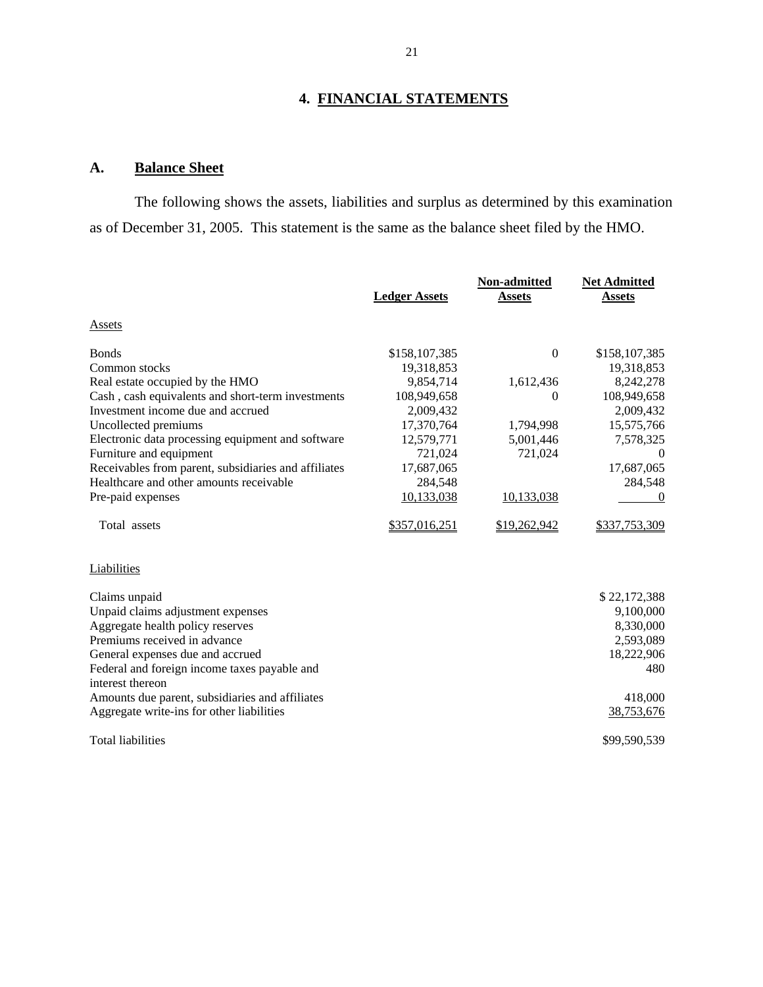# **4. FINANCIAL STATEMENTS**

# **A. Balance Sheet**

The following shows the assets, liabilities and surplus as determined by this examination as of December 31, 2005. This statement is the same as the balance sheet filed by the HMO.

|                                                      | <b>Ledger Assets</b> | Non-admitted<br><b>Assets</b> | <b>Net Admitted</b><br><b>Assets</b> |
|------------------------------------------------------|----------------------|-------------------------------|--------------------------------------|
| Assets                                               |                      |                               |                                      |
| <b>B</b> onds                                        | \$158,107,385        | $\overline{0}$                | \$158,107,385                        |
| Common stocks                                        | 19,318,853           |                               | 19,318,853                           |
| Real estate occupied by the HMO                      | 9,854,714            | 1,612,436                     | 8,242,278                            |
| Cash, cash equivalents and short-term investments    | 108,949,658          | 0                             | 108,949,658                          |
| Investment income due and accrued                    | 2,009,432            |                               | 2,009,432                            |
| Uncollected premiums                                 | 17,370,764           | 1,794,998                     | 15,575,766                           |
| Electronic data processing equipment and software    | 12,579,771           | 5,001,446                     | 7,578,325                            |
| Furniture and equipment                              | 721,024              | 721,024                       | $\theta$                             |
| Receivables from parent, subsidiaries and affiliates | 17,687,065           |                               | 17,687,065                           |
| Healthcare and other amounts receivable              | 284,548              |                               | 284,548                              |
| Pre-paid expenses                                    | 10,133,038           | 10,133,038                    | $\Omega$                             |
| Total assets                                         | \$357,016,251        | \$19,262,942                  | \$337,753,309                        |
| Liabilities                                          |                      |                               |                                      |
| Claims unpaid                                        |                      |                               | \$22,172,388                         |
| Unpaid claims adjustment expenses                    |                      |                               | 9,100,000                            |
| Aggregate health policy reserves                     |                      |                               | 8,330,000                            |
| Premiums received in advance                         |                      |                               | 2,593,089                            |
| General expenses due and accrued                     |                      |                               | 18,222,906                           |
| Federal and foreign income taxes payable and         |                      |                               | 480                                  |
| interest thereon                                     |                      |                               |                                      |
| Amounts due parent, subsidiaries and affiliates      |                      |                               | 418,000                              |
| Aggregate write-ins for other liabilities            |                      |                               | 38,753,676                           |
| <b>Total liabilities</b>                             |                      |                               | \$99,590,539                         |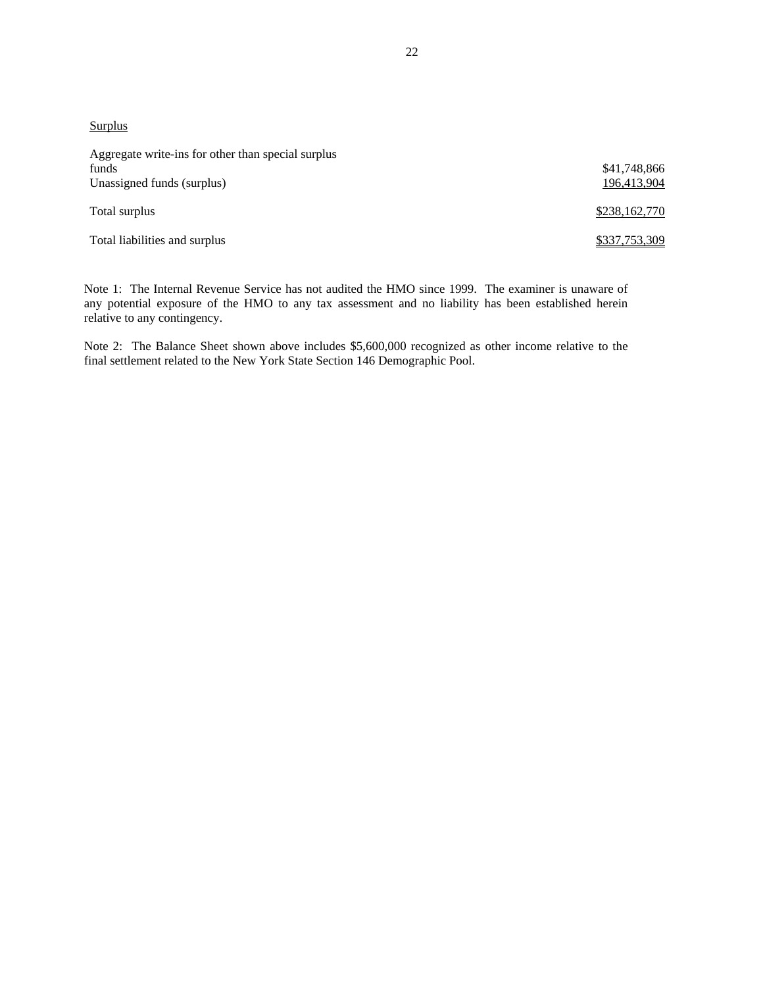**Surplus** 

| Aggregate write-ins for other than special surplus<br>funds<br>Unassigned funds (surplus) | \$41,748,866<br>196,413,904 |
|-------------------------------------------------------------------------------------------|-----------------------------|
| Total surplus                                                                             | \$238,162,770               |
| Total liabilities and surplus                                                             | \$337,753,309               |

 any potential exposure of the HMO to any tax assessment and no liability has been established herein Note 1: The Internal Revenue Service has not audited the HMO since 1999. The examiner is unaware of relative to any contingency.

Note 2: The Balance Sheet shown above includes \$5,600,000 recognized as other income relative to the final settlement related to the New York State Section 146 Demographic Pool.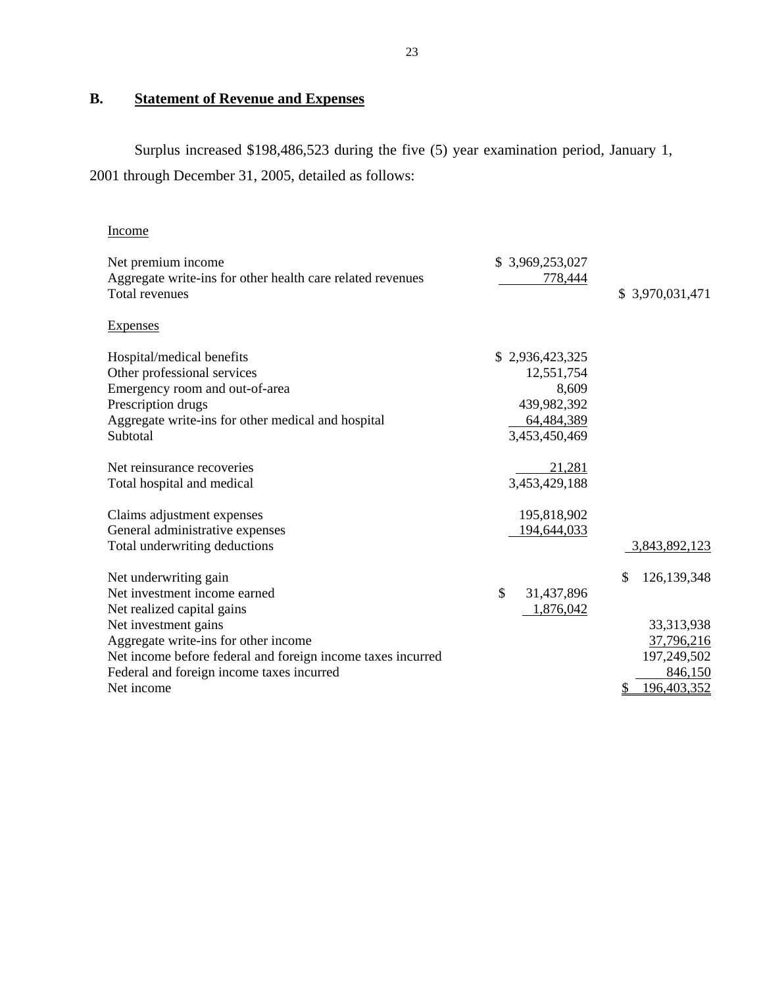# **B. Statement of Revenue and Expenses**

Surplus increased \$198,486,523 during the five (5) year examination period, January 1, 2001 through December 31, 2005, detailed as follows:

| Income                                                      |                  |                   |
|-------------------------------------------------------------|------------------|-------------------|
| Net premium income                                          | \$3,969,253,027  |                   |
| Aggregate write-ins for other health care related revenues  | 778,444          |                   |
| <b>Total revenues</b>                                       |                  | \$ 3,970,031,471  |
| <b>Expenses</b>                                             |                  |                   |
| Hospital/medical benefits                                   | \$2,936,423,325  |                   |
| Other professional services                                 | 12,551,754       |                   |
| Emergency room and out-of-area                              | 8,609            |                   |
| Prescription drugs                                          | 439,982,392      |                   |
| Aggregate write-ins for other medical and hospital          | 64,484,389       |                   |
| Subtotal                                                    | 3,453,450,469    |                   |
| Net reinsurance recoveries                                  | 21,281           |                   |
| Total hospital and medical                                  | 3,453,429,188    |                   |
| Claims adjustment expenses                                  | 195,818,902      |                   |
| General administrative expenses                             | 194,644,033      |                   |
| Total underwriting deductions                               |                  | 3,843,892,123     |
| Net underwriting gain                                       |                  | \$<br>126,139,348 |
| Net investment income earned                                | \$<br>31,437,896 |                   |
| Net realized capital gains                                  | 1,876,042        |                   |
| Net investment gains                                        |                  | 33,313,938        |
| Aggregate write-ins for other income                        |                  | 37,796,216        |
| Net income before federal and foreign income taxes incurred |                  | 197,249,502       |
| Federal and foreign income taxes incurred                   |                  | 846,150           |
| Net income                                                  |                  | 196,403,352       |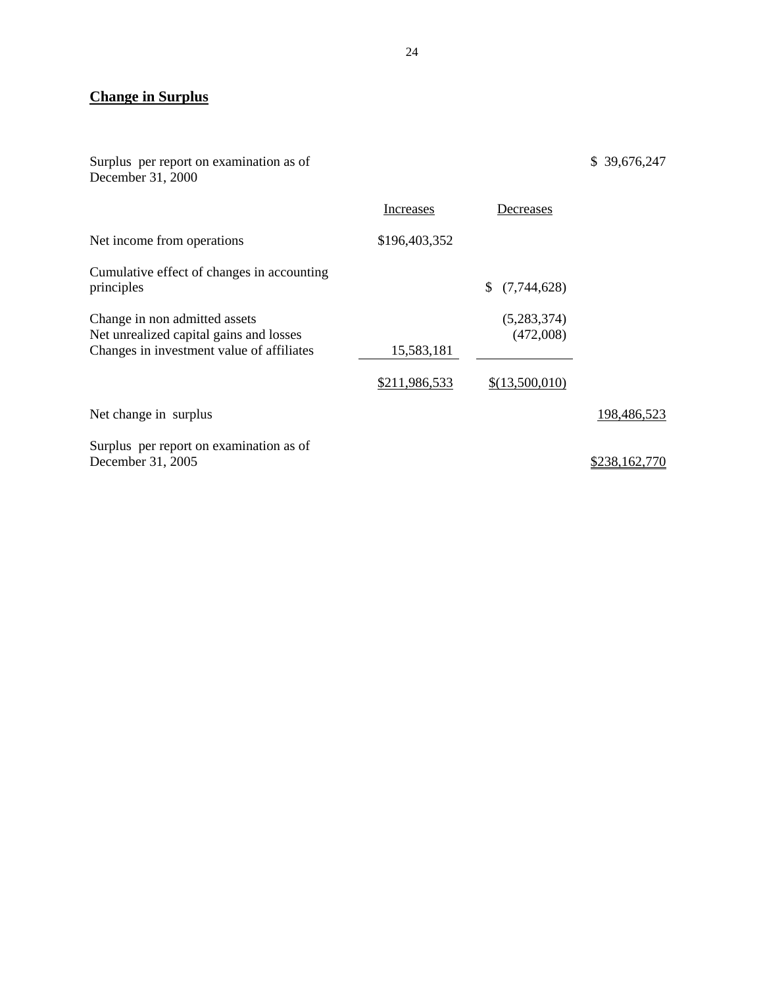# **Change in Surplus**

Surplus per report on examination as of December 31, 2000

|                                                                                                                       | Increases     | Decreases                |               |
|-----------------------------------------------------------------------------------------------------------------------|---------------|--------------------------|---------------|
| Net income from operations                                                                                            | \$196,403,352 |                          |               |
| Cumulative effect of changes in accounting<br>principles                                                              |               | \$(7,744,628)            |               |
| Change in non admitted assets<br>Net unrealized capital gains and losses<br>Changes in investment value of affiliates | 15,583,181    | (5,283,374)<br>(472,008) |               |
|                                                                                                                       | \$211,986,533 | \$(13,500,010)           |               |
| Net change in surplus                                                                                                 |               |                          | 198,486,523   |
| Surplus per report on examination as of<br>December 31, 2005                                                          |               |                          | \$238,162,770 |

\$ 39,676,247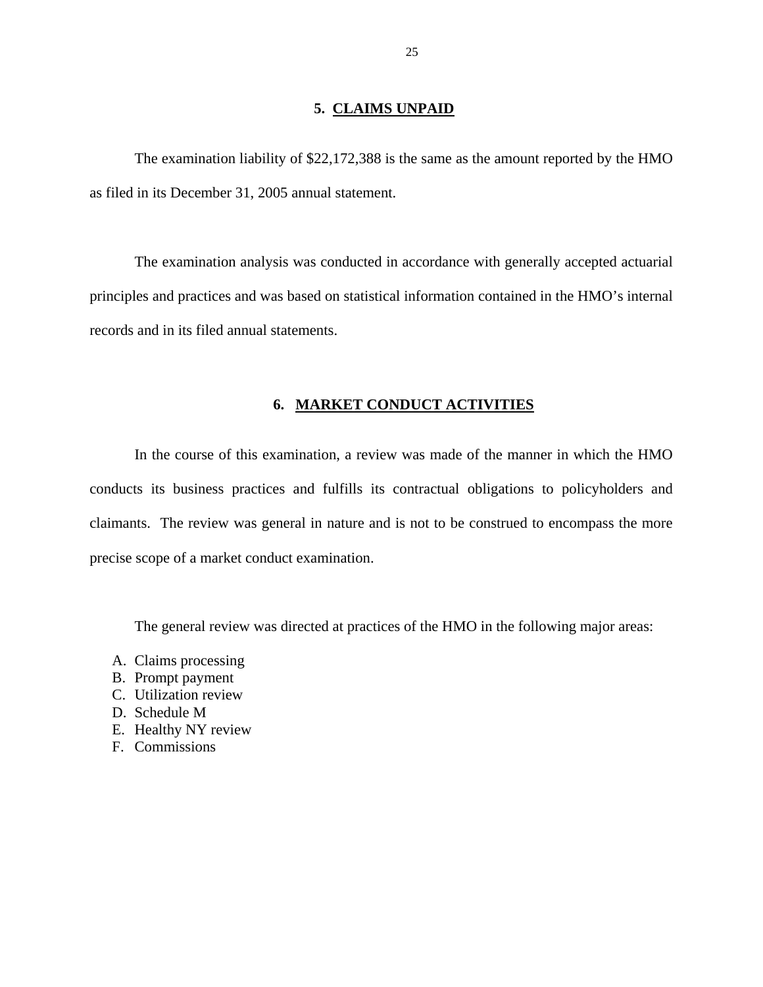# **5. CLAIMS UNPAID**

<span id="page-26-0"></span>The examination liability of \$22,172,388 is the same as the amount reported by the HMO as filed in its December 31, 2005 annual statement.

The examination analysis was conducted in accordance with generally accepted actuarial principles and practices and was based on statistical information contained in the HMO's internal records and in its filed annual statements.

# **6. MARKET CONDUCT ACTIVITIES**

In the course of this examination, a review was made of the manner in which the HMO conducts its business practices and fulfills its contractual obligations to policyholders and claimants. The review was general in nature and is not to be construed to encompass the more precise scope of a market conduct examination.

The general review was directed at practices of the HMO in the following major areas:

- A. Claims processing
- B. Prompt payment
- C. Utilization review
- D. Schedule M
- E. Healthy NY review
- F. Commissions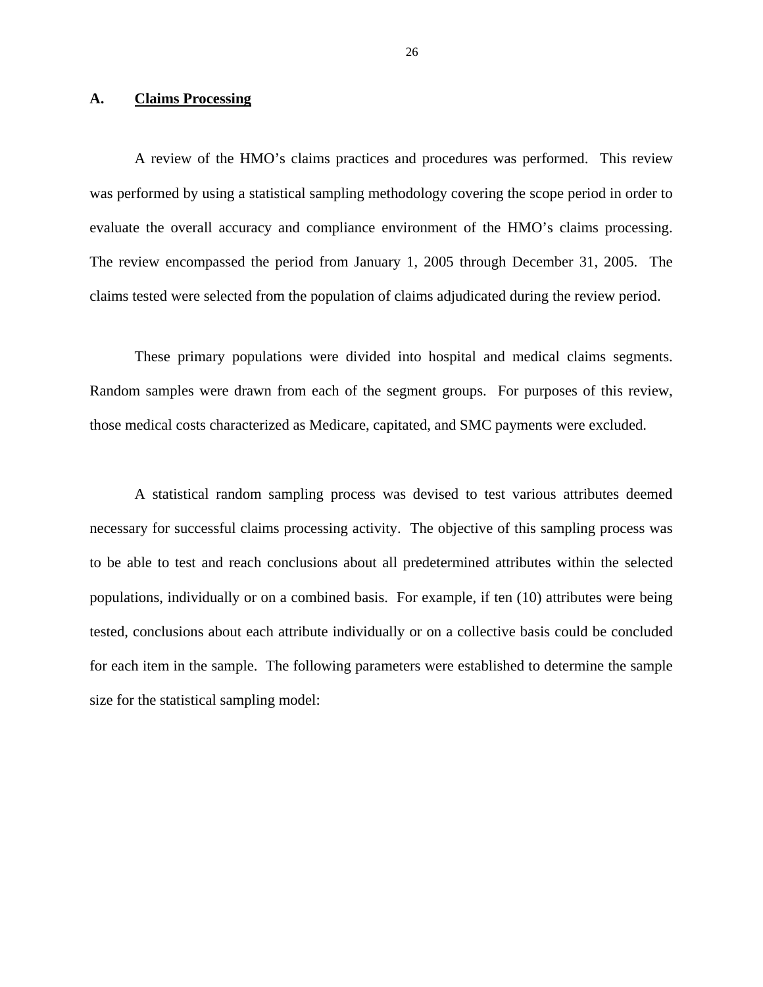# <span id="page-27-0"></span>**A. Claims Processing**

A review of the HMO's claims practices and procedures was performed. This review was performed by using a statistical sampling methodology covering the scope period in order to evaluate the overall accuracy and compliance environment of the HMO's claims processing. The review encompassed the period from January 1, 2005 through December 31, 2005. The claims tested were selected from the population of claims adjudicated during the review period.

These primary populations were divided into hospital and medical claims segments. Random samples were drawn from each of the segment groups. For purposes of this review, those medical costs characterized as Medicare, capitated, and SMC payments were excluded.

A statistical random sampling process was devised to test various attributes deemed necessary for successful claims processing activity. The objective of this sampling process was to be able to test and reach conclusions about all predetermined attributes within the selected populations, individually or on a combined basis. For example, if ten (10) attributes were being tested, conclusions about each attribute individually or on a collective basis could be concluded for each item in the sample. The following parameters were established to determine the sample size for the statistical sampling model: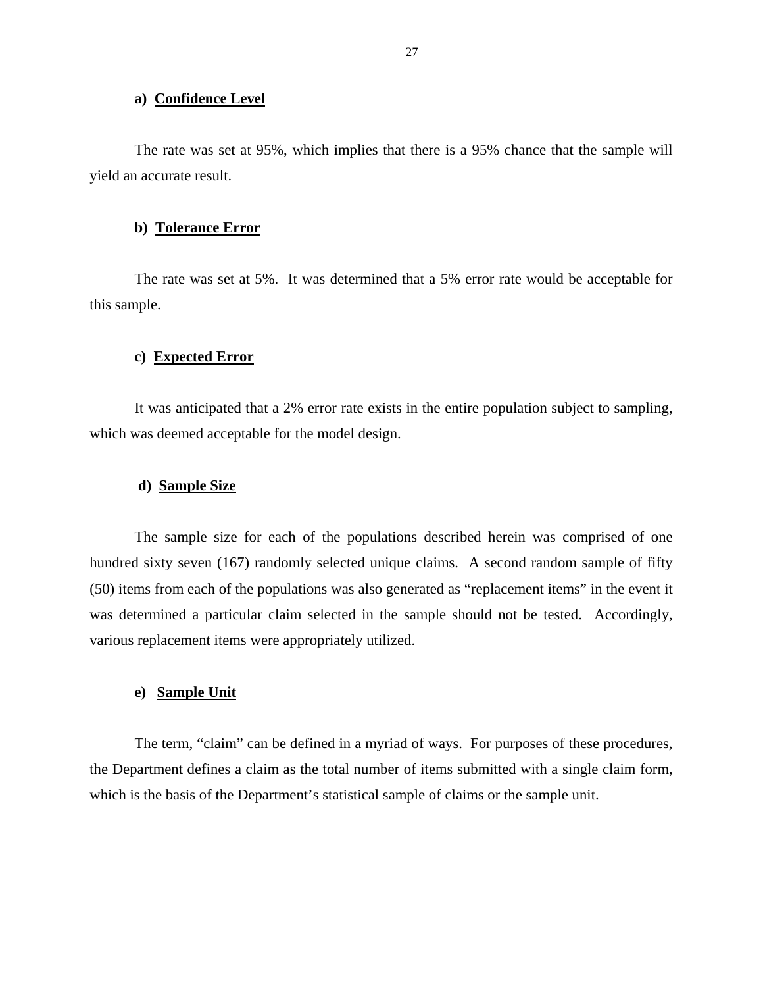# **a) Confidence Level**

The rate was set at 95%, which implies that there is a 95% chance that the sample will yield an accurate result.

#### **b) Tolerance Error**

The rate was set at 5%. It was determined that a 5% error rate would be acceptable for this sample.

# **c) Expected Error**

It was anticipated that a 2% error rate exists in the entire population subject to sampling, which was deemed acceptable for the model design.

# **d) Sample Size**

The sample size for each of the populations described herein was comprised of one hundred sixty seven (167) randomly selected unique claims. A second random sample of fifty (50) items from each of the populations was also generated as "replacement items" in the event it was determined a particular claim selected in the sample should not be tested. Accordingly, various replacement items were appropriately utilized.

# **e) Sample Unit**

The term, "claim" can be defined in a myriad of ways. For purposes of these procedures, the Department defines a claim as the total number of items submitted with a single claim form, which is the basis of the Department's statistical sample of claims or the sample unit.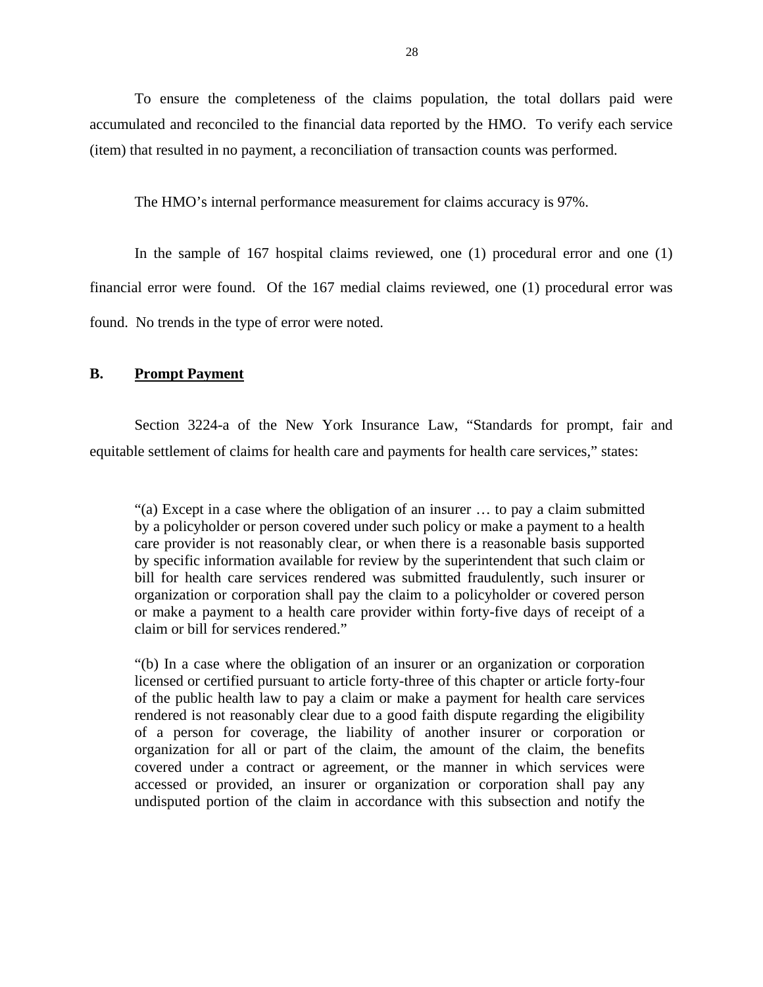<span id="page-29-0"></span>To ensure the completeness of the claims population, the total dollars paid were accumulated and reconciled to the financial data reported by the HMO. To verify each service (item) that resulted in no payment, a reconciliation of transaction counts was performed.

The HMO's internal performance measurement for claims accuracy is 97%.

In the sample of 167 hospital claims reviewed, one (1) procedural error and one (1) financial error were found. Of the 167 medial claims reviewed, one (1) procedural error was found. No trends in the type of error were noted.

# **B. Prompt Payment**

Section 3224-a of the New York Insurance Law, "Standards for prompt, fair and equitable settlement of claims for health care and payments for health care services," states:

"(a) Except in a case where the obligation of an insurer … to pay a claim submitted by a policyholder or person covered under such policy or make a payment to a health care provider is not reasonably clear, or when there is a reasonable basis supported by specific information available for review by the superintendent that such claim or bill for health care services rendered was submitted fraudulently, such insurer or organization or corporation shall pay the claim to a policyholder or covered person or make a payment to a health care provider within forty-five days of receipt of a claim or bill for services rendered."

"(b) In a case where the obligation of an insurer or an organization or corporation licensed or certified pursuant to article forty-three of this chapter or article forty-four of the public health law to pay a claim or make a payment for health care services rendered is not reasonably clear due to a good faith dispute regarding the eligibility of a person for coverage, the liability of another insurer or corporation or organization for all or part of the claim, the amount of the claim, the benefits covered under a contract or agreement, or the manner in which services were accessed or provided, an insurer or organization or corporation shall pay any undisputed portion of the claim in accordance with this subsection and notify the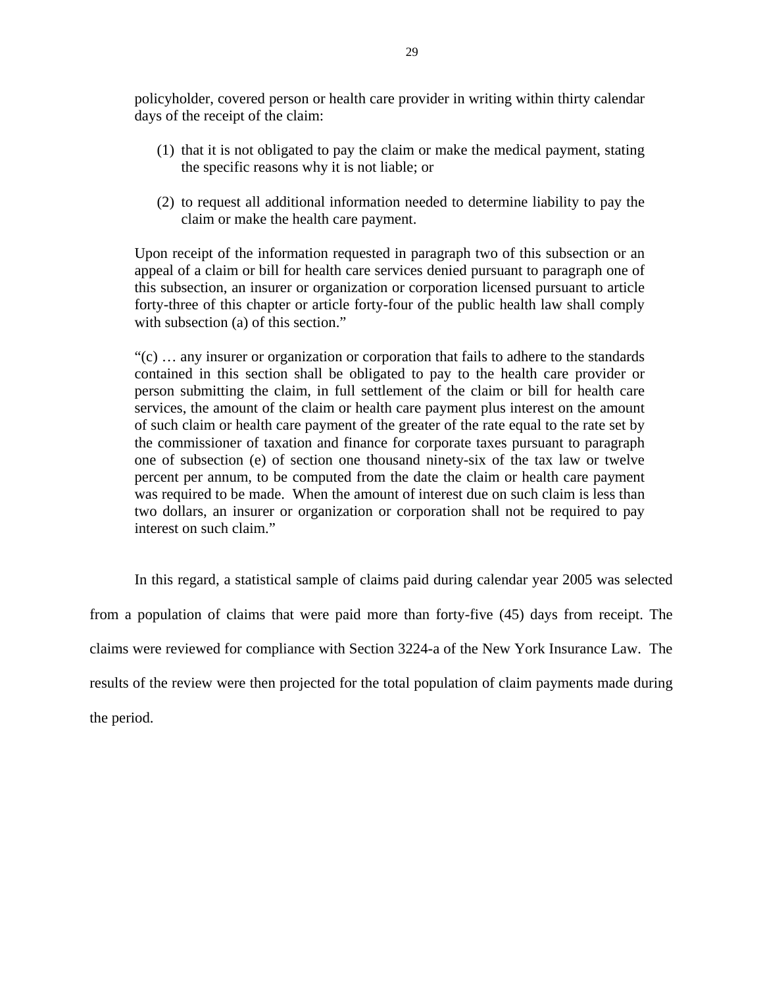policyholder, covered person or health care provider in writing within thirty calendar days of the receipt of the claim:

- (1) that it is not obligated to pay the claim or make the medical payment, stating the specific reasons why it is not liable; or
- (2) to request all additional information needed to determine liability to pay the claim or make the health care payment.

Upon receipt of the information requested in paragraph two of this subsection or an appeal of a claim or bill for health care services denied pursuant to paragraph one of this subsection, an insurer or organization or corporation licensed pursuant to article forty-three of this chapter or article forty-four of the public health law shall comply with subsection (a) of this section."

"(c) … any insurer or organization or corporation that fails to adhere to the standards contained in this section shall be obligated to pay to the health care provider or person submitting the claim, in full settlement of the claim or bill for health care services, the amount of the claim or health care payment plus interest on the amount of such claim or health care payment of the greater of the rate equal to the rate set by the commissioner of taxation and finance for corporate taxes pursuant to paragraph one of subsection (e) of section one thousand ninety-six of the tax law or twelve percent per annum, to be computed from the date the claim or health care payment was required to be made. When the amount of interest due on such claim is less than two dollars, an insurer or organization or corporation shall not be required to pay interest on such claim."

In this regard, a statistical sample of claims paid during calendar year 2005 was selected from a population of claims that were paid more than forty-five (45) days from receipt. The claims were reviewed for compliance with Section 3224-a of the New York Insurance Law. The results of the review were then projected for the total population of claim payments made during the period.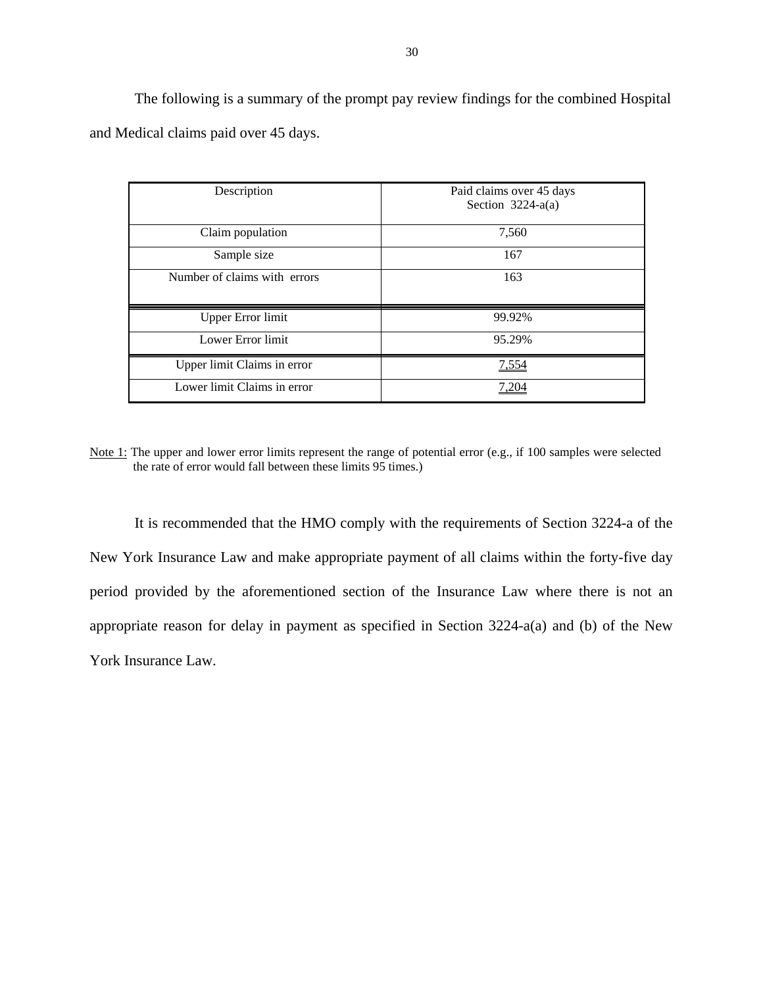The following is a summary of the prompt pay review findings for the combined Hospital and Medical claims paid over 45 days.

| Description                  | Paid claims over 45 days<br>Section $3224-a(a)$ |
|------------------------------|-------------------------------------------------|
| Claim population             | 7,560                                           |
| Sample size                  | 167                                             |
| Number of claims with errors | 163                                             |
| <b>Upper Error limit</b>     | 99.92%                                          |
| Lower Error limit            | 95.29%                                          |
| Upper limit Claims in error  | 7,554                                           |
| Lower limit Claims in error  |                                                 |

Note 1: The upper and lower error limits represent the range of potential error (e.g., if 100 samples were selected the rate of error would fall between these limits 95 times.)

It is recommended that the HMO comply with the requirements of Section 3224-a of the New York Insurance Law and make appropriate payment of all claims within the forty-five day period provided by the aforementioned section of the Insurance Law where there is not an appropriate reason for delay in payment as specified in Section 3224-a(a) and (b) of the New York Insurance Law.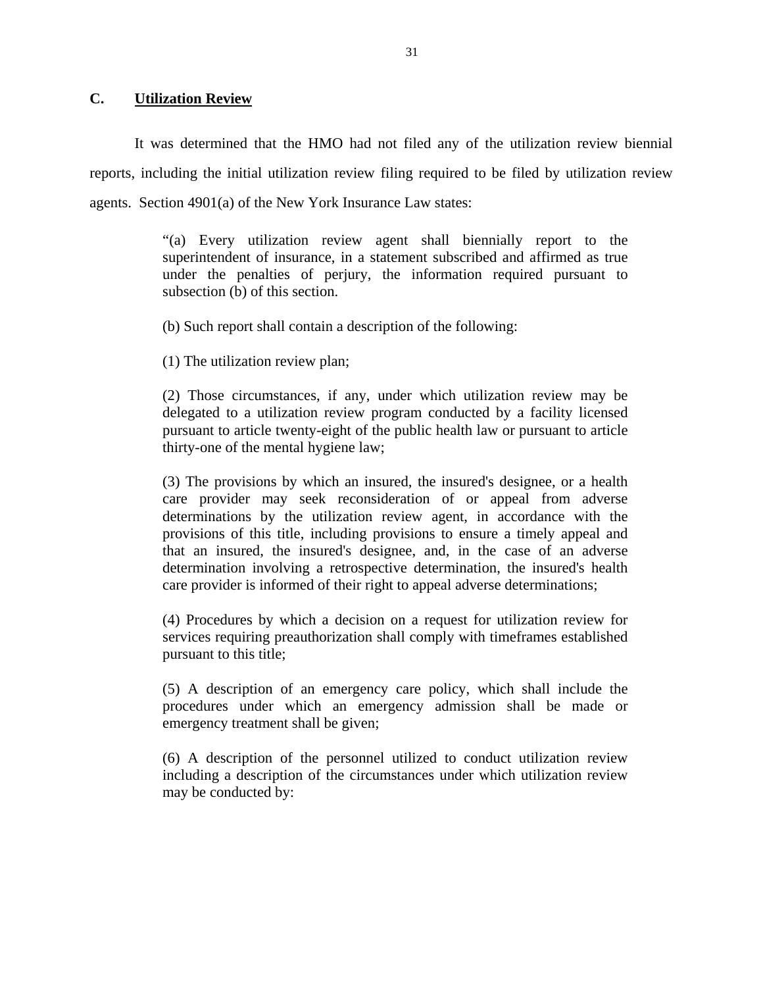# <span id="page-32-0"></span>**C. Utilization Review**

It was determined that the HMO had not filed any of the utilization review biennial reports, including the initial utilization review filing required to be filed by utilization review agents. Section 4901(a) of the New York Insurance Law states:

> "(a) Every utilization review agent shall biennially report to the superintendent of insurance, in a statement subscribed and affirmed as true under the penalties of perjury, the information required pursuant to subsection (b) of this section.

(b) Such report shall contain a description of the following:

(1) The utilization review plan;

(2) Those circumstances, if any, under which utilization review may be delegated to a utilization review program conducted by a facility licensed pursuant to article twenty-eight of the public health law or pursuant to article thirty-one of the mental hygiene law;

(3) The provisions by which an insured, the insured's designee, or a health care provider may seek reconsideration of or appeal from adverse determinations by the utilization review agent, in accordance with the provisions of this title, including provisions to ensure a timely appeal and that an insured, the insured's designee, and, in the case of an adverse determination involving a retrospective determination, the insured's health care provider is informed of their right to appeal adverse determinations;

(4) Procedures by which a decision on a request for utilization review for services requiring preauthorization shall comply with timeframes established pursuant to this title;

(5) A description of an emergency care policy, which shall include the procedures under which an emergency admission shall be made or emergency treatment shall be given;

(6) A description of the personnel utilized to conduct utilization review including a description of the circumstances under which utilization review may be conducted by: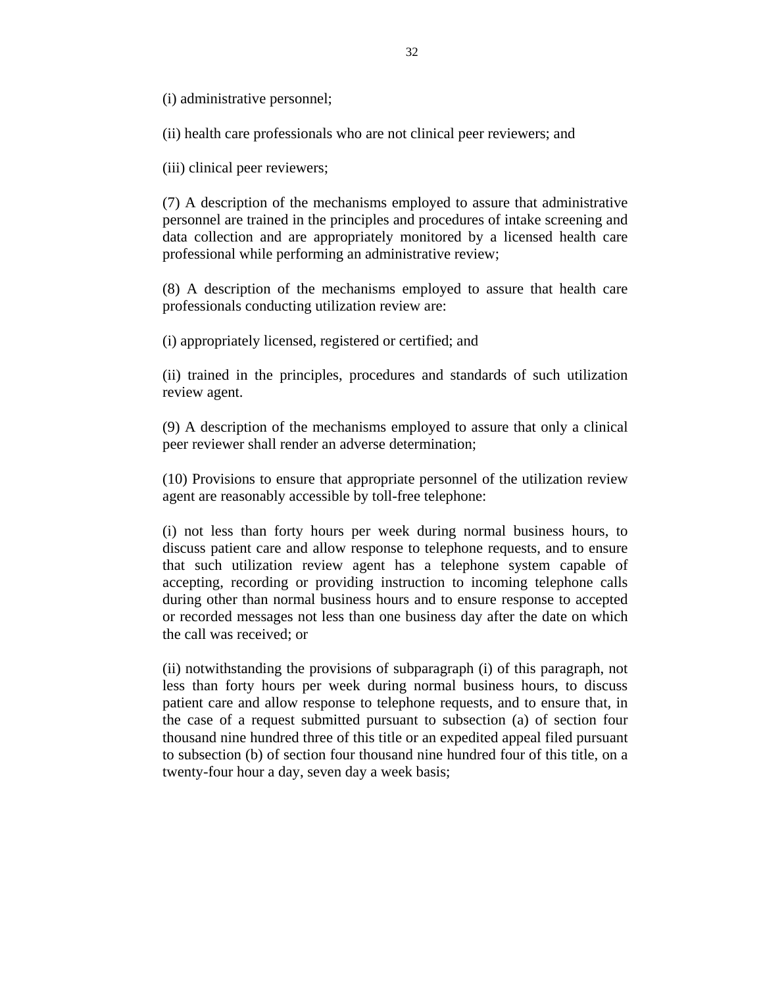(i) administrative personnel;

(ii) health care professionals who are not clinical peer reviewers; and

(iii) clinical peer reviewers;

(7) A description of the mechanisms employed to assure that administrative personnel are trained in the principles and procedures of intake screening and data collection and are appropriately monitored by a licensed health care professional while performing an administrative review;

(8) A description of the mechanisms employed to assure that health care professionals conducting utilization review are:

(i) appropriately licensed, registered or certified; and

(ii) trained in the principles, procedures and standards of such utilization review agent.

(9) A description of the mechanisms employed to assure that only a clinical peer reviewer shall render an adverse determination;

(10) Provisions to ensure that appropriate personnel of the utilization review agent are reasonably accessible by toll-free telephone:

the call was received; or (i) not less than forty hours per week during normal business hours, to discuss patient care and allow response to telephone requests, and to ensure that such utilization review agent has a telephone system capable of accepting, recording or providing instruction to incoming telephone calls during other than normal business hours and to ensure response to accepted or recorded messages not less than one business day after the date on which

(ii) notwithstanding the provisions of subparagraph (i) of this paragraph, not less than forty hours per week during normal business hours, to discuss patient care and allow response to telephone requests, and to ensure that, in the case of a request submitted pursuant to subsection (a) of section four thousand nine hundred three of this title or an expedited appeal filed pursuant to subsection (b) of section four thousand nine hundred four of this title, on a twenty-four hour a day, seven day a week basis;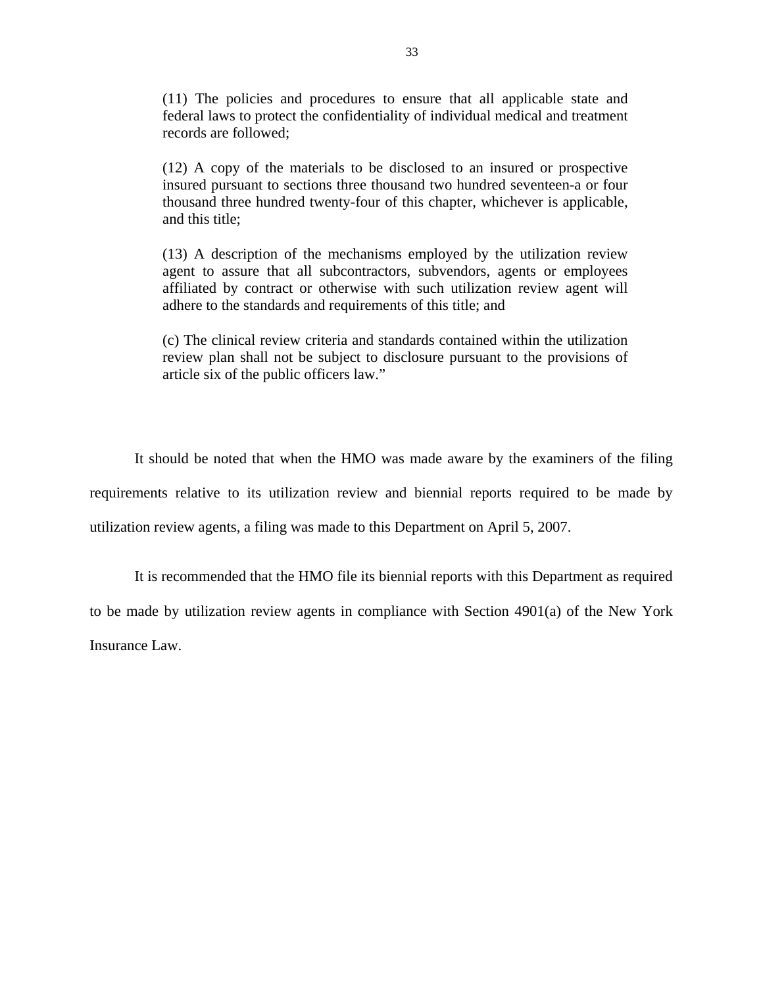(11) The policies and procedures to ensure that all applicable state and federal laws to protect the confidentiality of individual medical and treatment records are followed;

(12) A copy of the materials to be disclosed to an insured or prospective insured pursuant to sections three thousand two hundred seventeen-a or four thousand three hundred twenty-four of this chapter, whichever is applicable, and this title;

(13) A description of the mechanisms employed by the utilization review agent to assure that all subcontractors, subvendors, agents or employees affiliated by contract or otherwise with such utilization review agent will adhere to the standards and requirements of this title; and

(c) The clinical review criteria and standards contained within the utilization review plan shall not be subject to disclosure pursuant to the provisions of article six of the public officers law."

It should be noted that when the HMO was made aware by the examiners of the filing requirements relative to its utilization review and biennial reports required to be made by utilization review agents, a filing was made to this Department on April 5, 2007.

It is recommended that the HMO file its biennial reports with this Department as required to be made by utilization review agents in compliance with Section 4901(a) of the New York Insurance Law.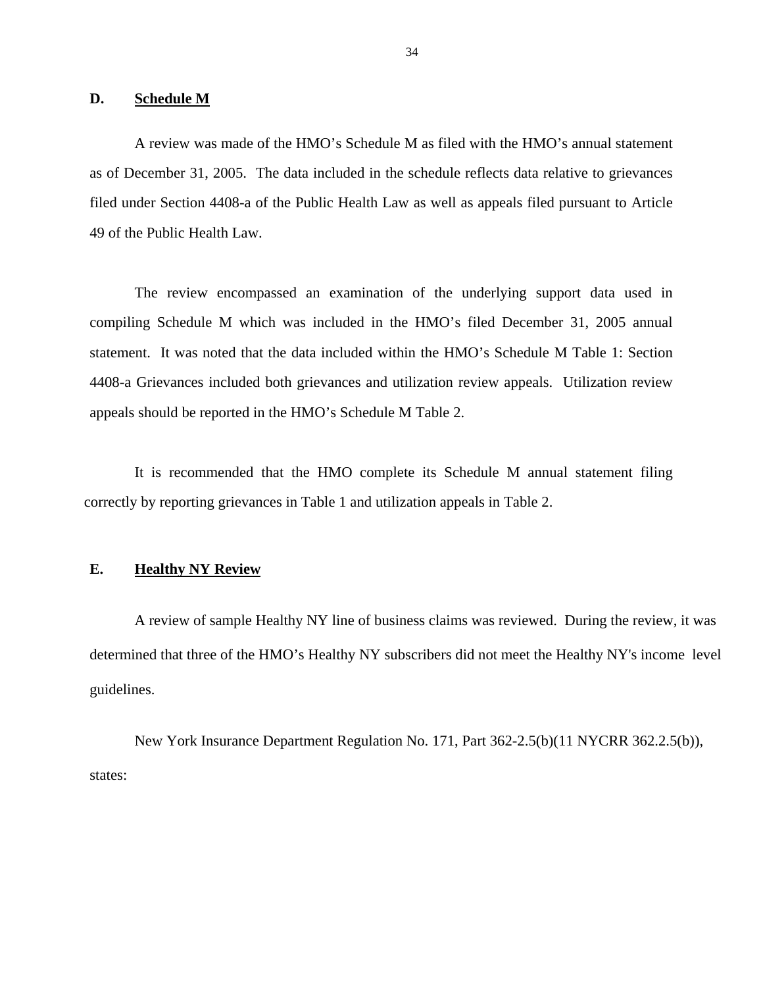#### <span id="page-35-0"></span>**D. Schedule M**

A review was made of the HMO's Schedule M as filed with the HMO's annual statement as of December 31, 2005. The data included in the schedule reflects data relative to grievances filed under Section 4408-a of the Public Health Law as well as appeals filed pursuant to Article 49 of the Public Health Law.

The review encompassed an examination of the underlying support data used in compiling Schedule M which was included in the HMO's filed December 31, 2005 annual statement. It was noted that the data included within the HMO's Schedule M Table 1: Section 4408-a Grievances included both grievances and utilization review appeals. Utilization review appeals should be reported in the HMO's Schedule M Table 2.

It is recommended that the HMO complete its Schedule M annual statement filing correctly by reporting grievances in Table 1 and utilization appeals in Table 2.

# **E. Healthy NY Review**

A review of sample Healthy NY line of business claims was reviewed. During the review, it was determined that three of the HMO's Healthy NY subscribers did not meet the Healthy NY's income level guidelines.

New York Insurance Department Regulation No. 171, Part 362-2.5(b)(11 NYCRR 362.2.5(b)), states: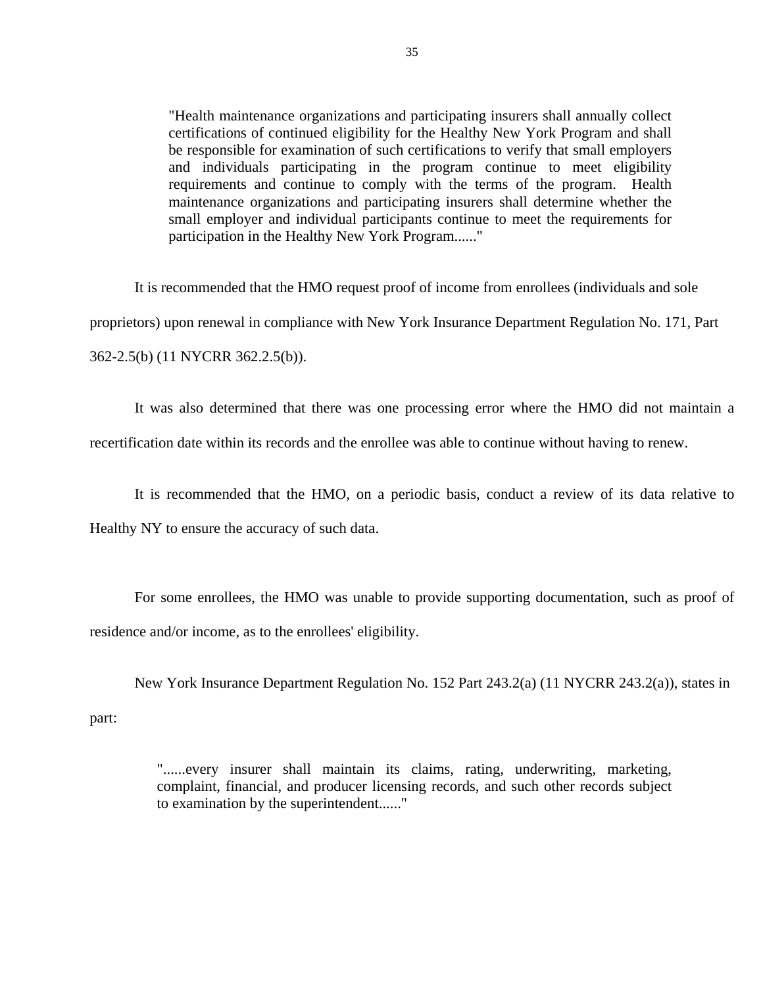"Health maintenance organizations and participating insurers shall annually collect certifications of continued eligibility for the Healthy New York Program and shall be responsible for examination of such certifications to verify that small employers and individuals participating in the program continue to meet eligibility requirements and continue to comply with the terms of the program. Health maintenance organizations and participating insurers shall determine whether the small employer and individual participants continue to meet the requirements for participation in the Healthy New York Program......"

It is recommended that the HMO request proof of income from enrollees (individuals and sole proprietors) upon renewal in compliance with New York Insurance Department Regulation No. 171, Part 362-2.5(b) (11 NYCRR 362.2.5(b)).

It was also determined that there was one processing error where the HMO did not maintain a recertification date within its records and the enrollee was able to continue without having to renew.

It is recommended that the HMO, on a periodic basis, conduct a review of its data relative to

Healthy NY to ensure the accuracy of such data.

For some enrollees, the HMO was unable to provide supporting documentation, such as proof of residence and/or income, as to the enrollees' eligibility.

New York Insurance Department Regulation No. 152 Part 243.2(a) (11 NYCRR 243.2(a)), states in part:

> "......every insurer shall maintain its claims, rating, underwriting, marketing, complaint, financial, and producer licensing records, and such other records subject to examination by the superintendent......"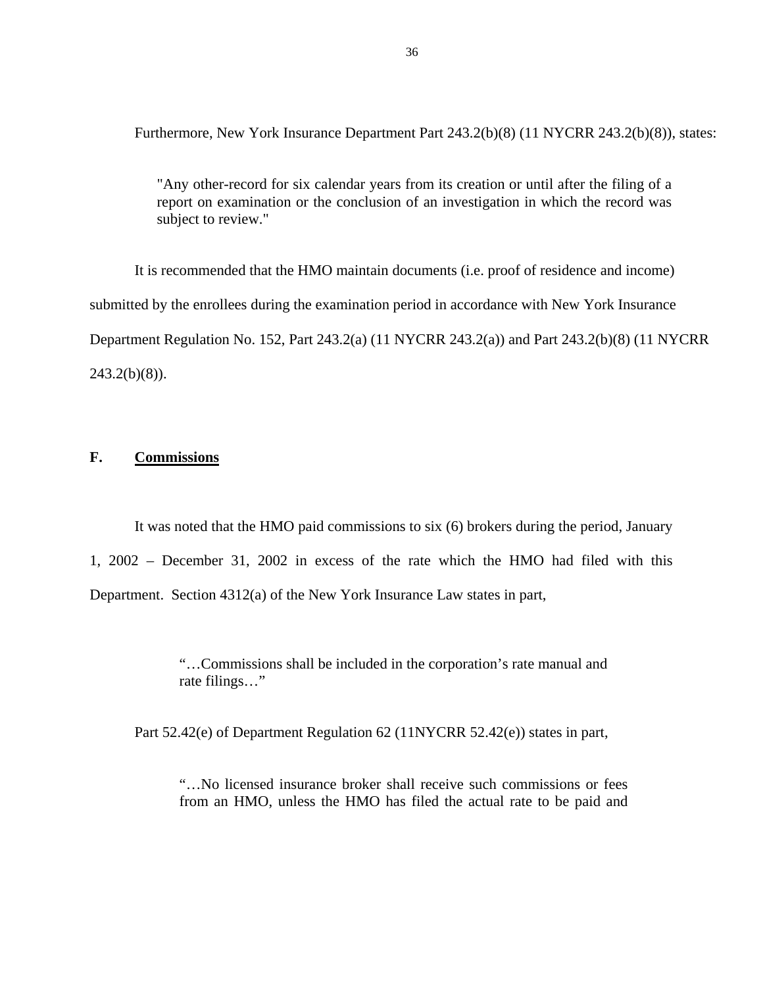<span id="page-37-0"></span>Furthermore, New York Insurance Department Part 243.2(b)(8) (11 NYCRR 243.2(b)(8)), states:

"Any other-record for six calendar years from its creation or until after the filing of a report on examination or the conclusion of an investigation in which the record was subject to review."

It is recommended that the HMO maintain documents (i.e. proof of residence and income) submitted by the enrollees during the examination period in accordance with New York Insurance Department Regulation No. 152, Part 243.2(a) (11 NYCRR 243.2(a)) and Part 243.2(b)(8) (11 NYCRR  $243.2(b)(8)$ ).

# **F. Commissions**

It was noted that the HMO paid commissions to six (6) brokers during the period, January 1, 2002 – December 31, 2002 in excess of the rate which the HMO had filed with this Department. Section 4312(a) of the New York Insurance Law states in part,

> "…Commissions shall be included in the corporation's rate manual and rate filings…"

Part 52.42(e) of Department Regulation 62 (11NYCRR 52.42(e)) states in part,

"…No licensed insurance broker shall receive such commissions or fees from an HMO, unless the HMO has filed the actual rate to be paid and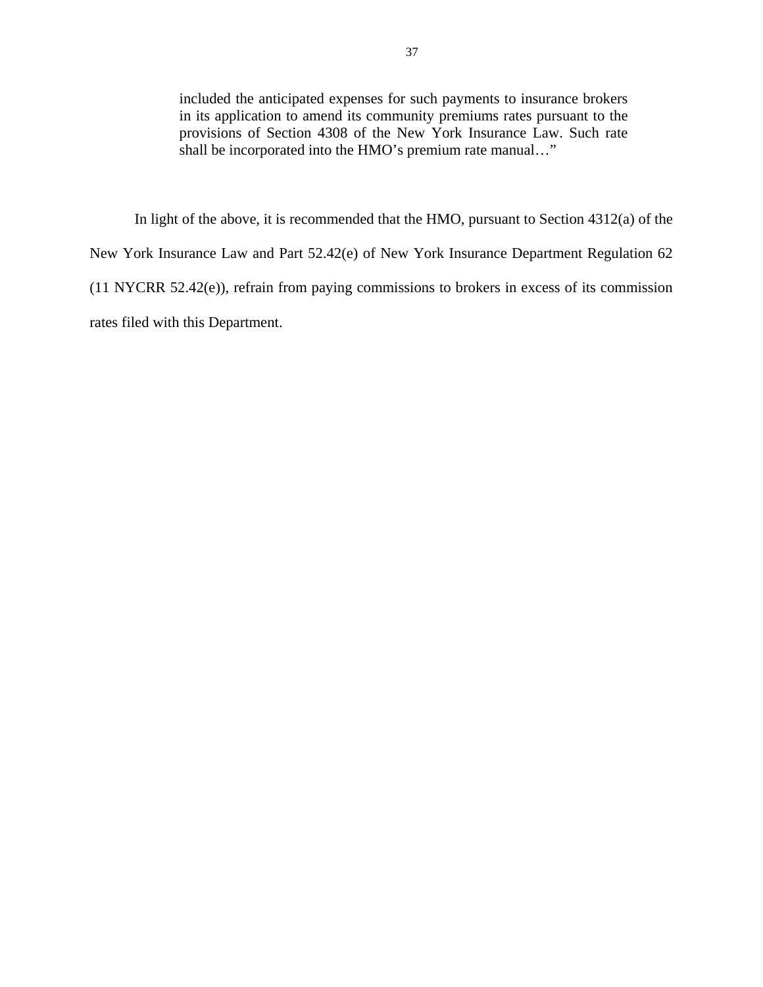included the anticipated expenses for such payments to insurance brokers in its application to amend its community premiums rates pursuant to the provisions of Section 4308 of the New York Insurance Law. Such rate shall be incorporated into the HMO's premium rate manual…"

In light of the above, it is recommended that the HMO, pursuant to Section 4312(a) of the New York Insurance Law and Part 52.42(e) of New York Insurance Department Regulation 62 (11 NYCRR 52.42(e)), refrain from paying commissions to brokers in excess of its commission rates filed with this Department.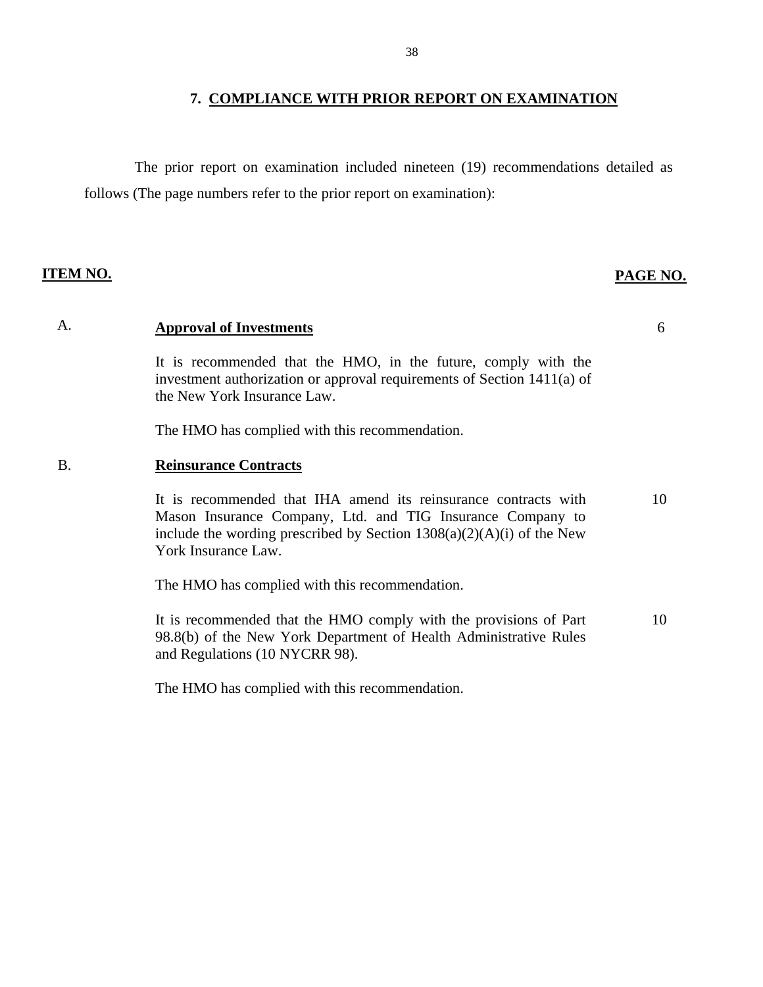# **7. COMPLIANCE WITH PRIOR REPORT ON EXAMINATION**

<span id="page-39-0"></span>The prior report on examination included nineteen (19) recommendations detailed as follows (The page numbers refer to the prior report on examination):

# **ITEM NO. PAGE NO.**

# A. **Approval of Investments** 6

It is recommended that the HMO, in the future, comply with the investment authorization or approval requirements of Section 1411(a) of the New York Insurance Law.

The HMO has complied with this recommendation.

# B. **Reinsurance Contracts**

It is recommended that IHA amend its reinsurance contracts with 10 Mason Insurance Company, Ltd. and TIG Insurance Company to include the wording prescribed by Section  $1308(a)(2)(A)(i)$  of the New York Insurance Law.

The HMO has complied with this recommendation.

It is recommended that the HMO comply with the provisions of Part 10 98.8(b) of the New York Department of Health Administrative Rules and Regulations (10 NYCRR 98).

The HMO has complied with this recommendation.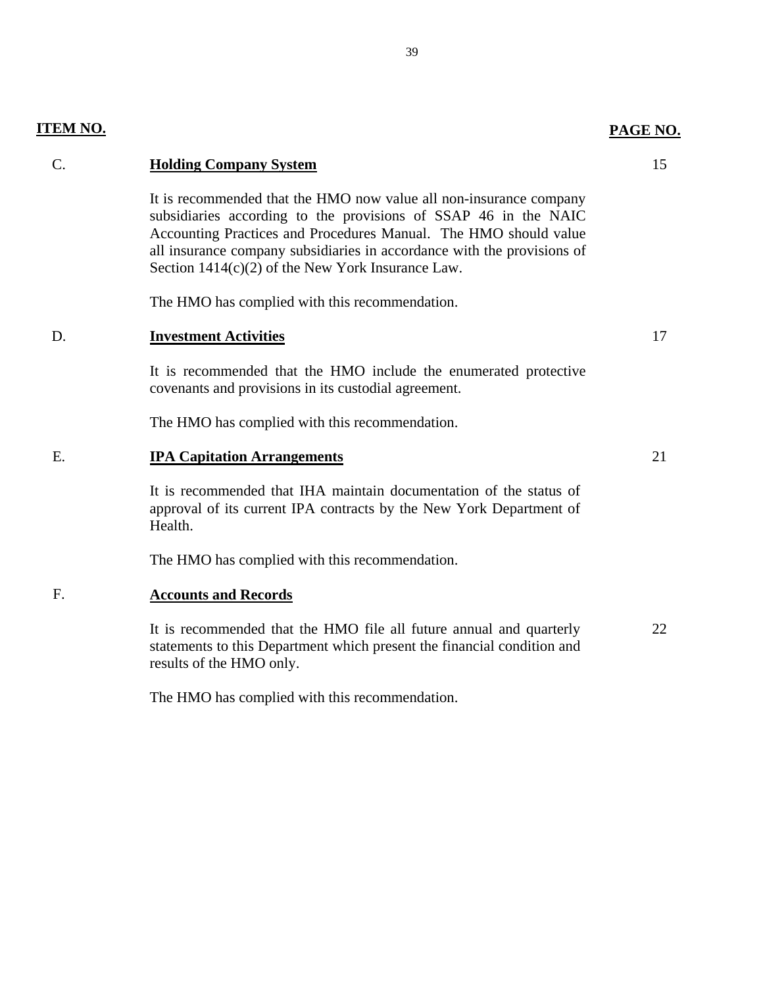| $\mathcal{C}$ . | <b>Holding Company System</b>                                                                                                                                                                                                                                                                                                               | 15 |
|-----------------|---------------------------------------------------------------------------------------------------------------------------------------------------------------------------------------------------------------------------------------------------------------------------------------------------------------------------------------------|----|
|                 | It is recommended that the HMO now value all non-insurance company<br>subsidiaries according to the provisions of SSAP 46 in the NAIC<br>Accounting Practices and Procedures Manual. The HMO should value<br>all insurance company subsidiaries in accordance with the provisions of<br>Section $1414(c)(2)$ of the New York Insurance Law. |    |
|                 | The HMO has complied with this recommendation.                                                                                                                                                                                                                                                                                              |    |
| D.              | <b>Investment Activities</b>                                                                                                                                                                                                                                                                                                                | 17 |
|                 | It is recommended that the HMO include the enumerated protective<br>covenants and provisions in its custodial agreement.                                                                                                                                                                                                                    |    |
|                 | The HMO has complied with this recommendation.                                                                                                                                                                                                                                                                                              |    |
| E.              | <b>IPA Capitation Arrangements</b>                                                                                                                                                                                                                                                                                                          | 21 |
|                 | It is recommended that IHA maintain documentation of the status of<br>approval of its current IPA contracts by the New York Department of<br>Health.                                                                                                                                                                                        |    |
|                 | The HMO has complied with this recommendation.                                                                                                                                                                                                                                                                                              |    |
| F.              | <b>Accounts and Records</b>                                                                                                                                                                                                                                                                                                                 |    |
|                 | It is recommended that the HMO file all future annual and quarterly<br>statements to this Department which present the financial condition and<br>results of the HMO only.                                                                                                                                                                  | 22 |

**ITEM NO. PAGE NO.** 

The HMO has complied with this recommendation.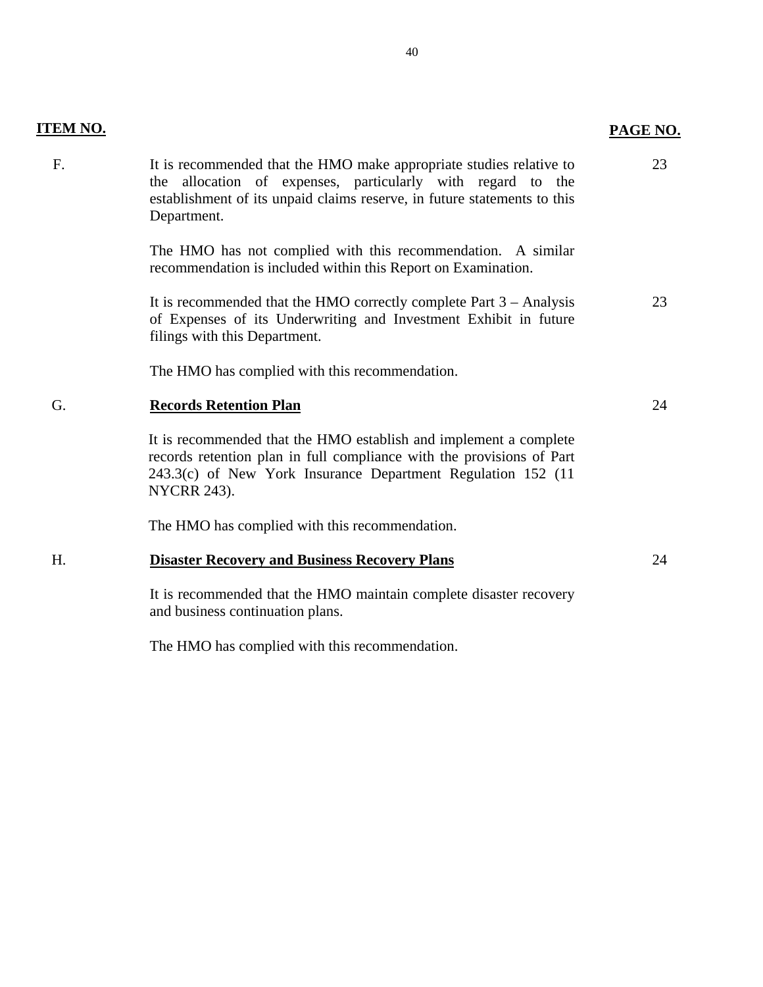| ITEM N0<br>1 |  |
|--------------|--|
|              |  |

# **PAGE NO.**

| The HMO has not complied with this recommendation. A similar<br>recommendation is included within this Report on Examination.<br>It is recommended that the HMO correctly complete Part $3 -$ Analysis<br>of Expenses of its Underwriting and Investment Exhibit in future<br>filings with this Department.<br>The HMO has complied with this recommendation.<br>Ġ.<br><b>Records Retention Plan</b><br>It is recommended that the HMO establish and implement a complete<br>records retention plan in full compliance with the provisions of Part<br>243.3(c) of New York Insurance Department Regulation 152 (11<br><b>NYCRR 243).</b><br>The HMO has complied with this recommendation.<br><b>Disaster Recovery and Business Recovery Plans</b><br>Н.<br>It is recommended that the HMO maintain complete disaster recovery<br>and business continuation plans. | F. | It is recommended that the HMO make appropriate studies relative to<br>the allocation of expenses, particularly with regard to the<br>establishment of its unpaid claims reserve, in future statements to this<br>Department. | 23 |
|--------------------------------------------------------------------------------------------------------------------------------------------------------------------------------------------------------------------------------------------------------------------------------------------------------------------------------------------------------------------------------------------------------------------------------------------------------------------------------------------------------------------------------------------------------------------------------------------------------------------------------------------------------------------------------------------------------------------------------------------------------------------------------------------------------------------------------------------------------------------|----|-------------------------------------------------------------------------------------------------------------------------------------------------------------------------------------------------------------------------------|----|
|                                                                                                                                                                                                                                                                                                                                                                                                                                                                                                                                                                                                                                                                                                                                                                                                                                                                    |    |                                                                                                                                                                                                                               |    |
|                                                                                                                                                                                                                                                                                                                                                                                                                                                                                                                                                                                                                                                                                                                                                                                                                                                                    |    |                                                                                                                                                                                                                               | 23 |
|                                                                                                                                                                                                                                                                                                                                                                                                                                                                                                                                                                                                                                                                                                                                                                                                                                                                    |    |                                                                                                                                                                                                                               |    |
|                                                                                                                                                                                                                                                                                                                                                                                                                                                                                                                                                                                                                                                                                                                                                                                                                                                                    |    |                                                                                                                                                                                                                               | 24 |
|                                                                                                                                                                                                                                                                                                                                                                                                                                                                                                                                                                                                                                                                                                                                                                                                                                                                    |    |                                                                                                                                                                                                                               |    |
|                                                                                                                                                                                                                                                                                                                                                                                                                                                                                                                                                                                                                                                                                                                                                                                                                                                                    |    |                                                                                                                                                                                                                               |    |
|                                                                                                                                                                                                                                                                                                                                                                                                                                                                                                                                                                                                                                                                                                                                                                                                                                                                    |    |                                                                                                                                                                                                                               | 24 |
|                                                                                                                                                                                                                                                                                                                                                                                                                                                                                                                                                                                                                                                                                                                                                                                                                                                                    |    |                                                                                                                                                                                                                               |    |

The HMO has complied with this recommendation.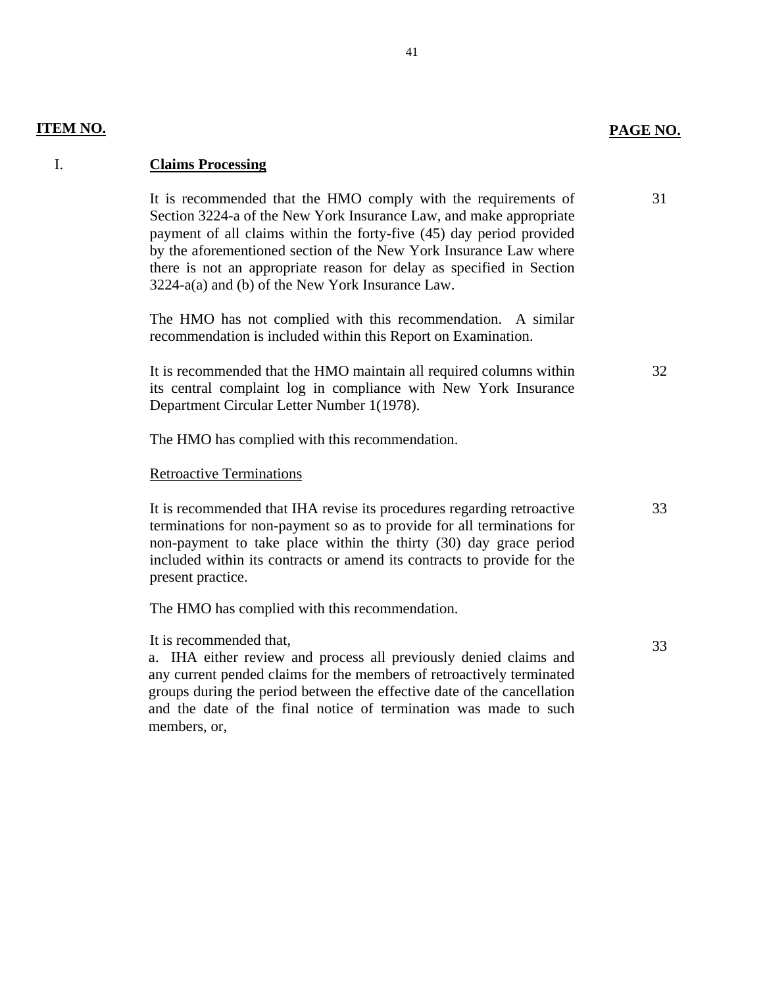# **PAGE NO.**

32

33

33

# **ITEM NO.**

# I. **Claims Processing**

31 It is recommended that the HMO comply with the requirements of Section 3224-a of the New York Insurance Law, and make appropriate payment of all claims within the forty-five (45) day period provided by the aforementioned section of the New York Insurance Law where there is not an appropriate reason for delay as specified in Section 3224-a(a) and (b) of the New York Insurance Law.

The HMO has not complied with this recommendation. A similar recommendation is included within this Report on Examination.

It is recommended that the HMO maintain all required columns within its central complaint log in compliance with New York Insurance Department Circular Letter Number 1(1978).

The HMO has complied with this recommendation.

Retroactive Terminations

It is recommended that IHA revise its procedures regarding retroactive terminations for non-payment so as to provide for all terminations for non-payment to take place within the thirty (30) day grace period included within its contracts or amend its contracts to provide for the present practice.

The HMO has complied with this recommendation.

It is recommended that,

a. IHA either review and process all previously denied claims and any current pended claims for the members of retroactively terminated groups during the period between the effective date of the cancellation and the date of the final notice of termination was made to such members, or,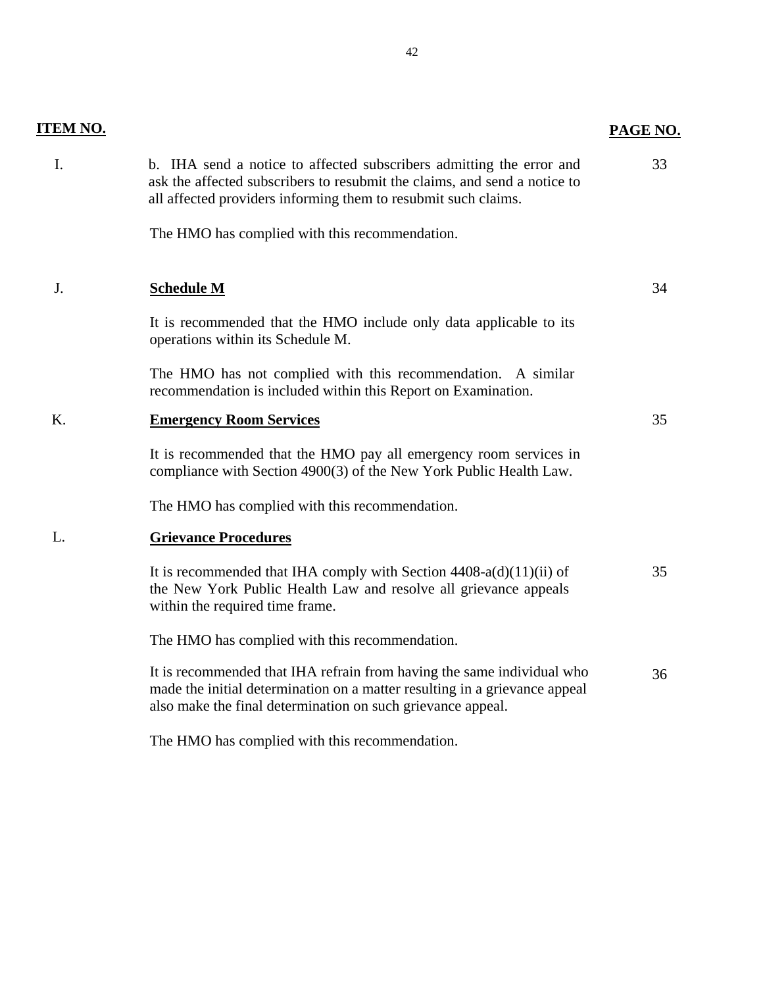| <b>ITEM NO.</b> |                                                                                                                                                                                                                     | PAGE NO. |
|-----------------|---------------------------------------------------------------------------------------------------------------------------------------------------------------------------------------------------------------------|----------|
| Ι.              | b. IHA send a notice to affected subscribers admitting the error and<br>ask the affected subscribers to resubmit the claims, and send a notice to<br>all affected providers informing them to resubmit such claims. | 33       |
|                 | The HMO has complied with this recommendation.                                                                                                                                                                      |          |
| J.              | <b>Schedule M</b>                                                                                                                                                                                                   | 34       |
|                 | It is recommended that the HMO include only data applicable to its<br>operations within its Schedule M.                                                                                                             |          |
|                 | The HMO has not complied with this recommendation. A similar<br>recommendation is included within this Report on Examination.                                                                                       |          |
| K.              | <b>Emergency Room Services</b>                                                                                                                                                                                      | 35       |
|                 | It is recommended that the HMO pay all emergency room services in<br>compliance with Section 4900(3) of the New York Public Health Law.                                                                             |          |
|                 | The HMO has complied with this recommendation.                                                                                                                                                                      |          |
| L.              | <b>Grievance Procedures</b>                                                                                                                                                                                         |          |
|                 | It is recommended that IHA comply with Section $4408-a(d)(11)(ii)$ of<br>the New York Public Health Law and resolve all grievance appeals<br>within the required time frame.                                        | 35       |
|                 | The HMO has complied with this recommendation.                                                                                                                                                                      |          |
|                 | It is recommended that IHA refrain from having the same individual who<br>made the initial determination on a matter resulting in a grievance appeal<br>also make the final determination on such grievance appeal. | 36       |
|                 | The HMO has complied with this recommendation.                                                                                                                                                                      |          |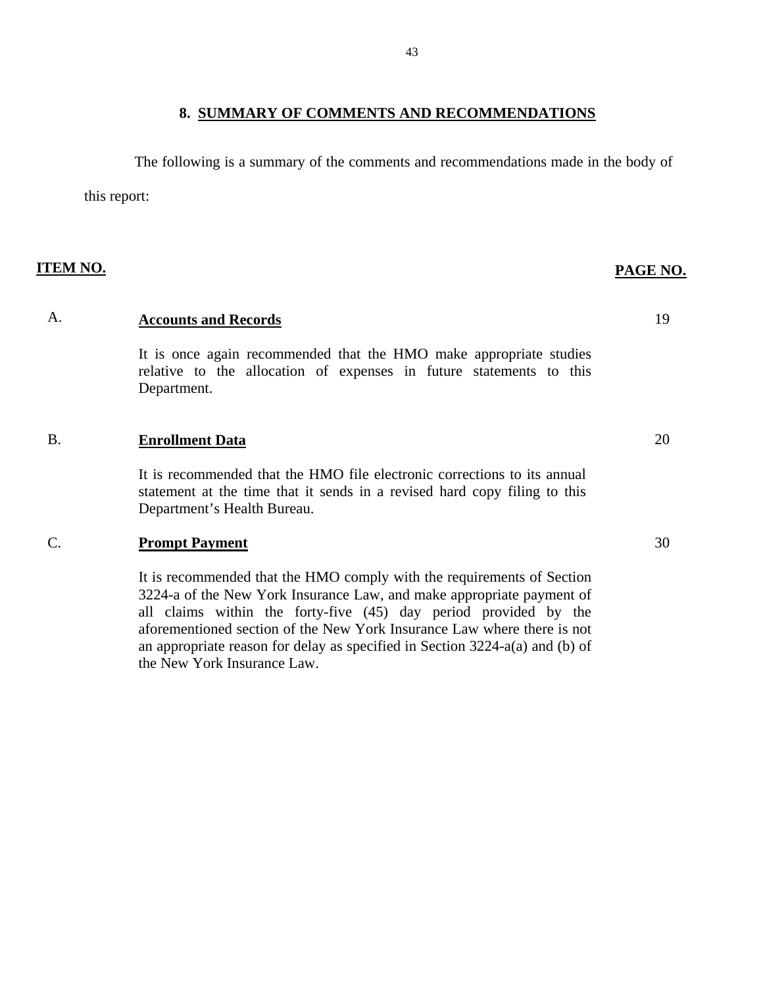# **8. SUMMARY OF COMMENTS AND RECOMMENDATIONS**

<span id="page-44-0"></span>The following is a summary of the comments and recommendations made in the body of

this report:

**ITEM NO. PAGE NO.**

# A. **Accounts and Records** 19

It is once again recommended that the HMO make appropriate studies relative to the allocation of expenses in future statements to this Department.

# B. **Enrollment Data** 20

It is recommended that the HMO file electronic corrections to its annual statement at the time that it sends in a revised hard copy filing to this Department's Health Bureau.

# C. **Prompt Payment** 30

It is recommended that the HMO comply with the requirements of Section 3224-a of the New York Insurance Law, and make appropriate payment of all claims within the forty-five (45) day period provided by the aforementioned section of the New York Insurance Law where there is not an appropriate reason for delay as specified in Section 3224-a(a) and (b) of the New York Insurance Law.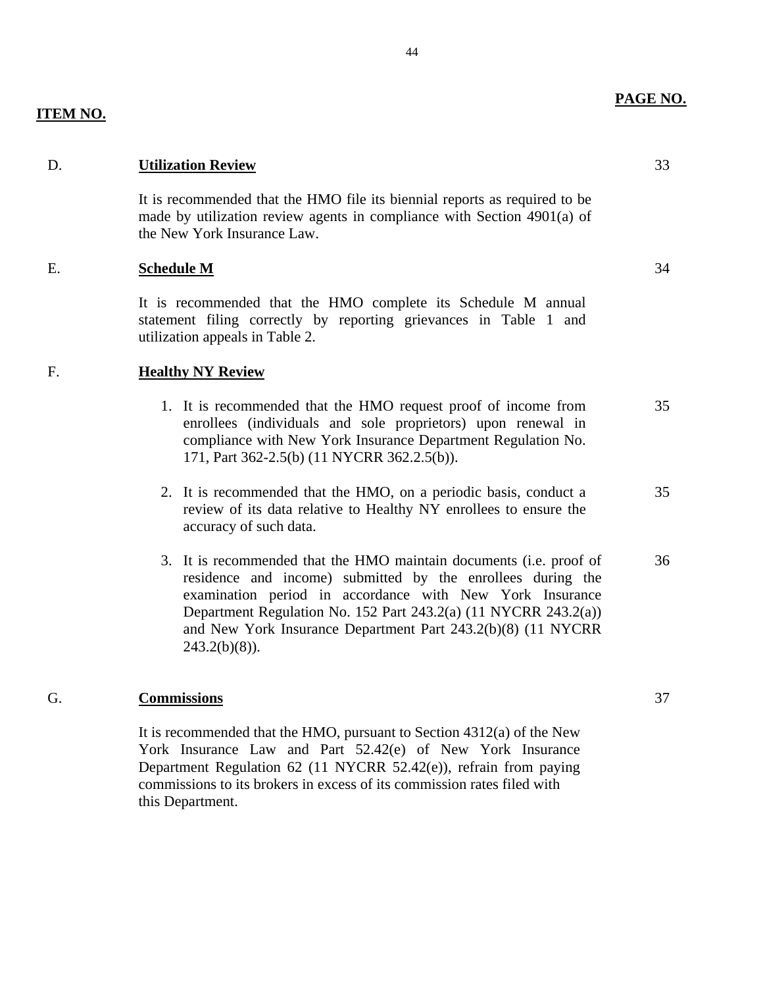44

# **ITEM NO.**

# D. **Utilization Review** 33

It is recommended that the HMO file its biennial reports as required to be made by utilization review agents in compliance with Section 4901(a) of the New York Insurance Law.

# E. **Schedule M** 34

It is recommended that the HMO complete its Schedule M annual statement filing correctly by reporting grievances in Table 1 and utilization appeals in Table 2.

# F. **Healthy NY Review**

- 1. It is recommended that the HMO request proof of income from 35 enrollees (individuals and sole proprietors) upon renewal in compliance with New York Insurance Department Regulation No. 171, Part 362-2.5(b) (11 NYCRR 362.2.5(b)).
- 2. It is recommended that the HMO, on a periodic basis, conduct a 35 review of its data relative to Healthy NY enrollees to ensure the accuracy of such data.
- 3. It is recommended that the HMO maintain documents (i.e. proof of 36 residence and income) submitted by the enrollees during the examination period in accordance with New York Insurance Department Regulation No. 152 Part 243.2(a) (11 NYCRR 243.2(a)) and New York Insurance Department Part 243.2(b)(8) (11 NYCRR  $243.2(b)(8)$ ).

# G. **Commissions** 37

It is recommended that the HMO, pursuant to Section 4312(a) of the New York Insurance Law and Part 52.42(e) of New York Insurance Department Regulation 62 (11 NYCRR 52.42(e)), refrain from paying commissions to its brokers in excess of its commission rates filed with this Department.